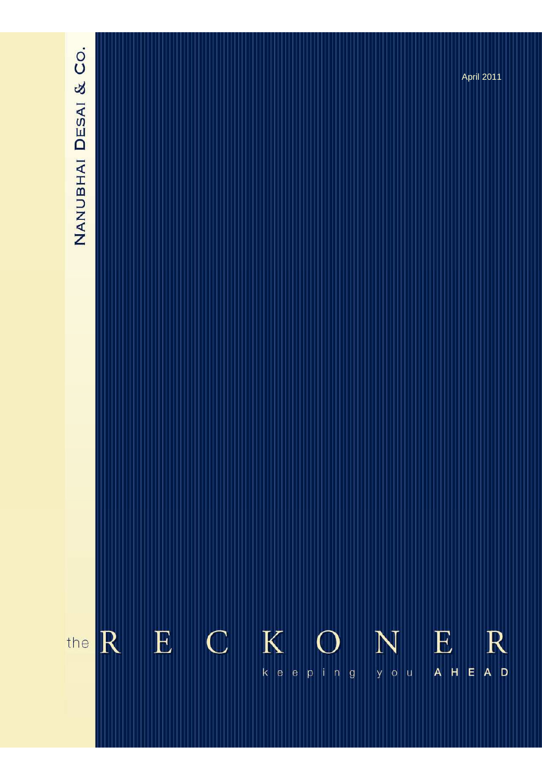

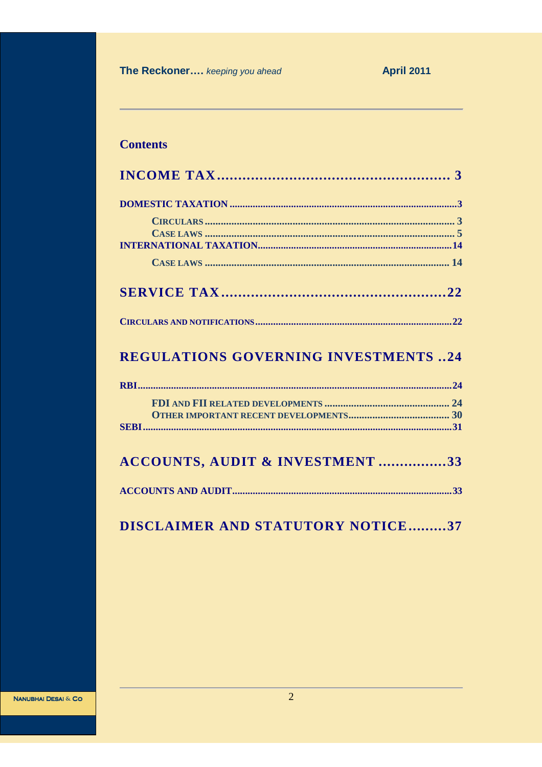The Reckoner.... keeping you ahead

# **Contents**

| <b>REGULATIONS GOVERNING INVESTMENTS 24</b> |
|---------------------------------------------|
|                                             |
|                                             |
|                                             |
|                                             |
| <b>ACCOUNTS, AUDIT &amp; INVESTMENT 33</b>  |
|                                             |

# DISCLAIMER AND STATUTORY NOTICE.........37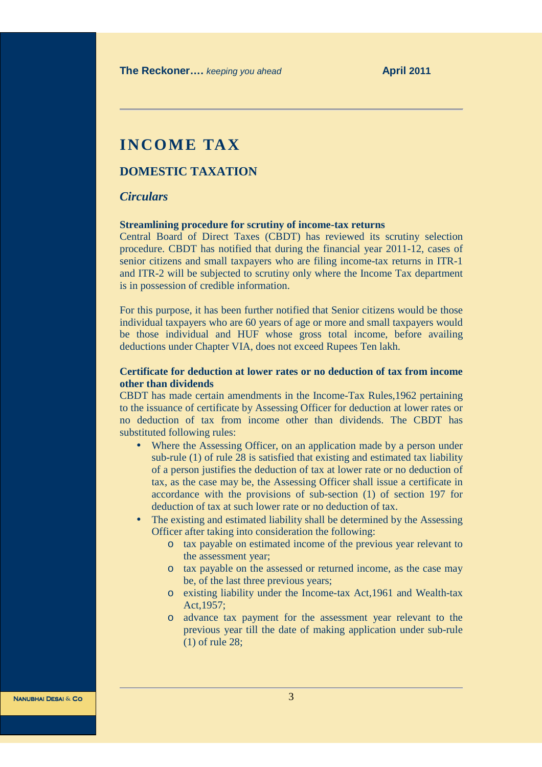# **INCOME TAX**

# **DOMESTIC TAXATION**

# *Circulars*

#### **Streamlining procedure for scrutiny of income-tax returns**

Central Board of Direct Taxes (CBDT) has reviewed its scrutiny selection procedure. CBDT has notified that during the financial year 2011-12, cases of senior citizens and small taxpayers who are filing income-tax returns in ITR-1 and ITR-2 will be subjected to scrutiny only where the Income Tax department is in possession of credible information.

For this purpose, it has been further notified that Senior citizens would be those individual taxpayers who are 60 years of age or more and small taxpayers would be those individual and HUF whose gross total income, before availing deductions under Chapter VIA, does not exceed Rupees Ten lakh.

# **Certificate for deduction at lower rates or no deduction of tax from income other than dividends**

CBDT has made certain amendments in the Income-Tax Rules,1962 pertaining to the issuance of certificate by Assessing Officer for deduction at lower rates or no deduction of tax from income other than dividends. The CBDT has substituted following rules:

- Where the Assessing Officer, on an application made by a person under sub-rule (1) of rule 28 is satisfied that existing and estimated tax liability of a person justifies the deduction of tax at lower rate or no deduction of tax, as the case may be, the Assessing Officer shall issue a certificate in accordance with the provisions of sub-section (1) of section 197 for deduction of tax at such lower rate or no deduction of tax.
- The existing and estimated liability shall be determined by the Assessing Officer after taking into consideration the following:
	- o tax payable on estimated income of the previous year relevant to the assessment year;
	- o tax payable on the assessed or returned income, as the case may be, of the last three previous years;
	- o existing liability under the Income-tax Act,1961 and Wealth-tax Act,1957;
	- o advance tax payment for the assessment year relevant to the previous year till the date of making application under sub-rule (1) of rule 28;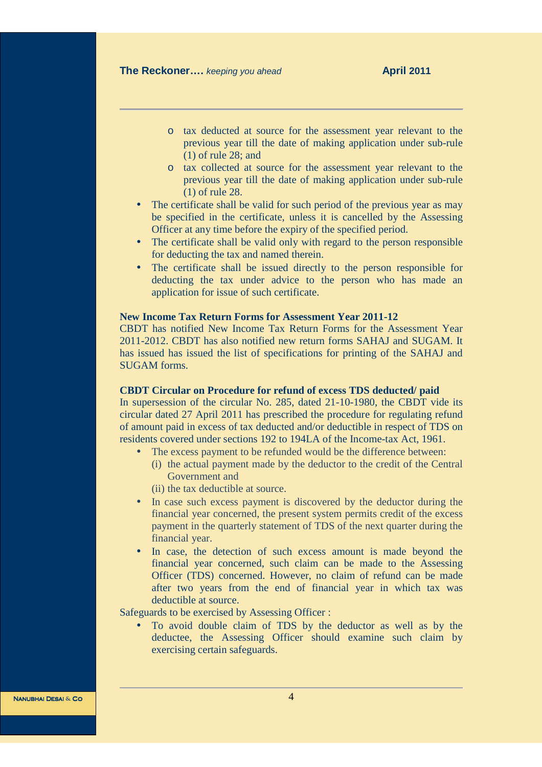- o tax deducted at source for the assessment year relevant to the previous year till the date of making application under sub-rule (1) of rule 28; and
- o tax collected at source for the assessment year relevant to the previous year till the date of making application under sub-rule (1) of rule 28.
- The certificate shall be valid for such period of the previous year as may be specified in the certificate, unless it is cancelled by the Assessing Officer at any time before the expiry of the specified period.
- The certificate shall be valid only with regard to the person responsible for deducting the tax and named therein.
- The certificate shall be issued directly to the person responsible for deducting the tax under advice to the person who has made an application for issue of such certificate.

# **New Income Tax Return Forms for Assessment Year 2011-12**

CBDT has notified New Income Tax Return Forms for the Assessment Year 2011-2012. CBDT has also notified new return forms SAHAJ and SUGAM. It has issued has issued the list of specifications for printing of the SAHAJ and SUGAM forms.

#### **CBDT Circular on Procedure for refund of excess TDS deducted/ paid**

In supersession of the circular No. 285, dated 21-10-1980, the CBDT vide its circular dated 27 April 2011 has prescribed the procedure for regulating refund of amount paid in excess of tax deducted and/or deductible in respect of TDS on residents covered under sections 192 to 194LA of the Income-tax Act, 1961.

- The excess payment to be refunded would be the difference between:
	- (i) the actual payment made by the deductor to the credit of the Central Government and
	- (ii) the tax deductible at source.
- In case such excess payment is discovered by the deductor during the financial year concerned, the present system permits credit of the excess payment in the quarterly statement of TDS of the next quarter during the financial year.
- In case, the detection of such excess amount is made beyond the financial year concerned, such claim can be made to the Assessing Officer (TDS) concerned. However, no claim of refund can be made after two years from the end of financial year in which tax was deductible at source.

Safeguards to be exercised by Assessing Officer :

• To avoid double claim of TDS by the deductor as well as by the deductee, the Assessing Officer should examine such claim by exercising certain safeguards.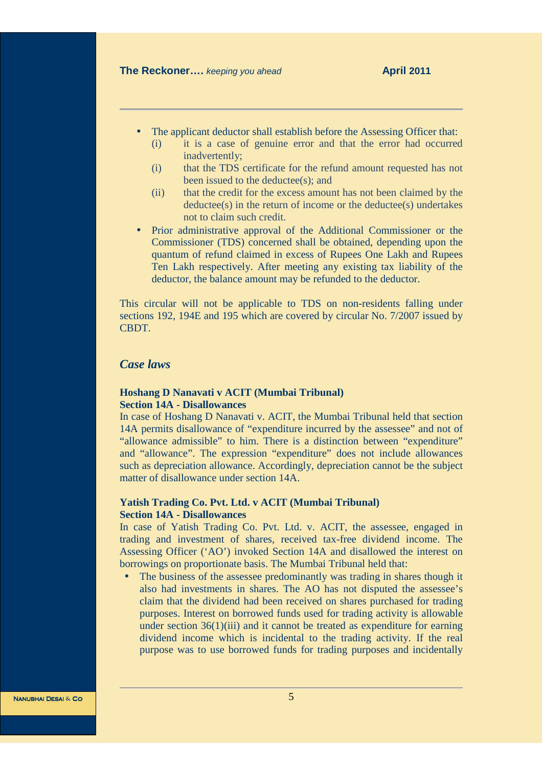- The applicant deductor shall establish before the Assessing Officer that:
	- (i) it is a case of genuine error and that the error had occurred inadvertently;
	- (i) that the TDS certificate for the refund amount requested has not been issued to the deductee(s); and
	- (ii) that the credit for the excess amount has not been claimed by the deductee(s) in the return of income or the deductee(s) undertakes not to claim such credit.
- Prior administrative approval of the Additional Commissioner or the Commissioner (TDS) concerned shall be obtained, depending upon the quantum of refund claimed in excess of Rupees One Lakh and Rupees Ten Lakh respectively. After meeting any existing tax liability of the deductor, the balance amount may be refunded to the deductor.

This circular will not be applicable to TDS on non-residents falling under sections 192, 194E and 195 which are covered by circular No. 7/2007 issued by **CBDT** 

# *Case laws*

# **Hoshang D Nanavati v ACIT (Mumbai Tribunal) Section 14A - Disallowances**

In case of Hoshang D Nanavati v. ACIT, the Mumbai Tribunal held that section 14A permits disallowance of "expenditure incurred by the assessee" and not of "allowance admissible" to him. There is a distinction between "expenditure" and "allowance". The expression "expenditure" does not include allowances such as depreciation allowance. Accordingly, depreciation cannot be the subject matter of disallowance under section 14A.

# **Yatish Trading Co. Pvt. Ltd. v ACIT (Mumbai Tribunal) Section 14A - Disallowances**

In case of Yatish Trading Co. Pvt. Ltd. v. ACIT, the assessee, engaged in trading and investment of shares, received tax-free dividend income. The Assessing Officer ('AO') invoked Section 14A and disallowed the interest on borrowings on proportionate basis. The Mumbai Tribunal held that:

• The business of the assessee predominantly was trading in shares though it also had investments in shares. The AO has not disputed the assessee's claim that the dividend had been received on shares purchased for trading purposes. Interest on borrowed funds used for trading activity is allowable under section  $36(1)(iii)$  and it cannot be treated as expenditure for earning dividend income which is incidental to the trading activity. If the real purpose was to use borrowed funds for trading purposes and incidentally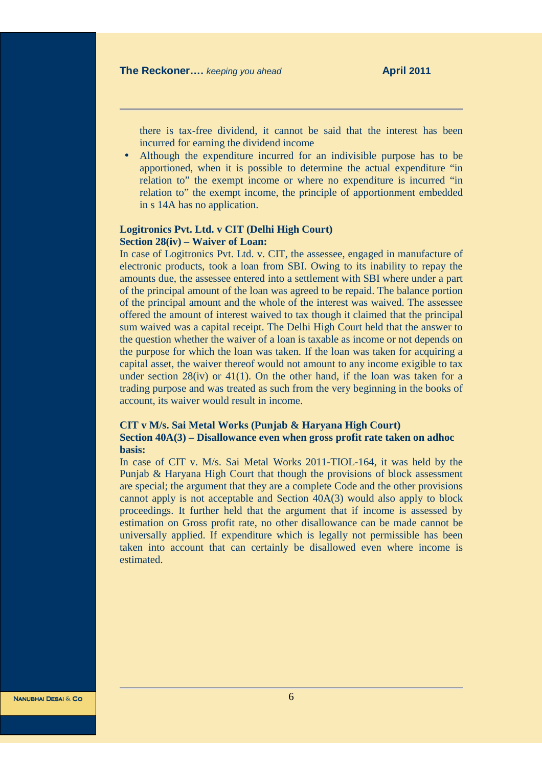there is tax-free dividend, it cannot be said that the interest has been incurred for earning the dividend income

• Although the expenditure incurred for an indivisible purpose has to be apportioned, when it is possible to determine the actual expenditure "in relation to" the exempt income or where no expenditure is incurred "in relation to" the exempt income, the principle of apportionment embedded in s 14A has no application.

# **Logitronics Pvt. Ltd. v CIT (Delhi High Court) Section 28(iv) – Waiver of Loan:**

In case of Logitronics Pvt. Ltd. v. CIT, the assessee, engaged in manufacture of electronic products, took a loan from SBI. Owing to its inability to repay the amounts due, the assessee entered into a settlement with SBI where under a part of the principal amount of the loan was agreed to be repaid. The balance portion of the principal amount and the whole of the interest was waived. The assessee offered the amount of interest waived to tax though it claimed that the principal sum waived was a capital receipt. The Delhi High Court held that the answer to the question whether the waiver of a loan is taxable as income or not depends on the purpose for which the loan was taken. If the loan was taken for acquiring a capital asset, the waiver thereof would not amount to any income exigible to tax under section  $28(iv)$  or  $41(1)$ . On the other hand, if the loan was taken for a trading purpose and was treated as such from the very beginning in the books of account, its waiver would result in income.

# **CIT v M/s. Sai Metal Works (Punjab & Haryana High Court) Section 40A(3) – Disallowance even when gross profit rate taken on adhoc basis:**

In case of CIT v. M/s. Sai Metal Works 2011-TIOL-164, it was held by the Punjab & Haryana High Court that though the provisions of block assessment are special; the argument that they are a complete Code and the other provisions cannot apply is not acceptable and Section 40A(3) would also apply to block proceedings. It further held that the argument that if income is assessed by estimation on Gross profit rate, no other disallowance can be made cannot be universally applied. If expenditure which is legally not permissible has been taken into account that can certainly be disallowed even where income is estimated.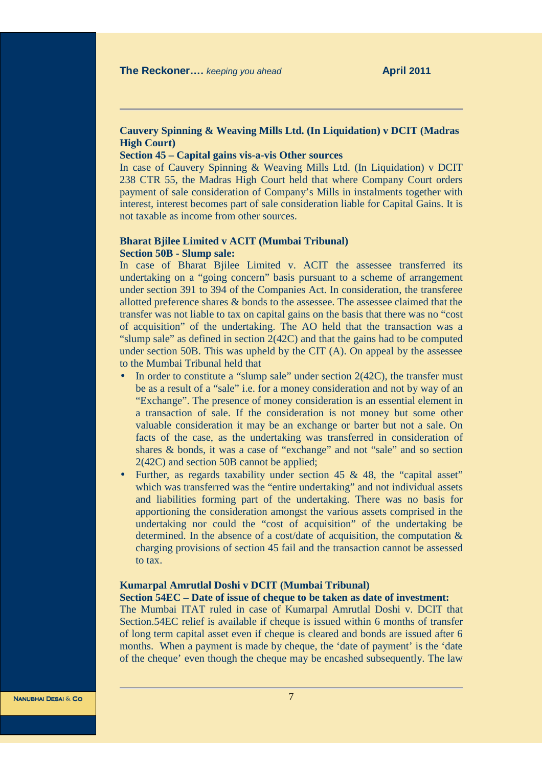# **Cauvery Spinning & Weaving Mills Ltd. (In Liquidation) v DCIT (Madras High Court)**

# **Section 45 – Capital gains vis-a-vis Other sources**

In case of Cauvery Spinning & Weaving Mills Ltd. (In Liquidation) v DCIT 238 CTR 55, the Madras High Court held that where Company Court orders payment of sale consideration of Company's Mills in instalments together with interest, interest becomes part of sale consideration liable for Capital Gains. It is not taxable as income from other sources.

# **Bharat Bjilee Limited v ACIT (Mumbai Tribunal) Section 50B - Slump sale:**

In case of Bharat Bjilee Limited v. ACIT the assessee transferred its undertaking on a "going concern" basis pursuant to a scheme of arrangement under section 391 to 394 of the Companies Act. In consideration, the transferee allotted preference shares & bonds to the assessee. The assessee claimed that the transfer was not liable to tax on capital gains on the basis that there was no "cost of acquisition" of the undertaking. The AO held that the transaction was a "slump sale" as defined in section 2(42C) and that the gains had to be computed under section 50B. This was upheld by the CIT (A). On appeal by the assessee to the Mumbai Tribunal held that

- In order to constitute a "slump sale" under section  $2(42C)$ , the transfer must be as a result of a "sale" i.e. for a money consideration and not by way of an "Exchange". The presence of money consideration is an essential element in a transaction of sale. If the consideration is not money but some other valuable consideration it may be an exchange or barter but not a sale. On facts of the case, as the undertaking was transferred in consideration of shares & bonds, it was a case of "exchange" and not "sale" and so section 2(42C) and section 50B cannot be applied;
- Further, as regards taxability under section 45 & 48, the "capital asset" which was transferred was the "entire undertaking" and not individual assets and liabilities forming part of the undertaking. There was no basis for apportioning the consideration amongst the various assets comprised in the undertaking nor could the "cost of acquisition" of the undertaking be determined. In the absence of a cost/date of acquisition, the computation & charging provisions of section 45 fail and the transaction cannot be assessed to tax.

#### **Kumarpal Amrutlal Doshi v DCIT (Mumbai Tribunal)**

# **Section 54EC – Date of issue of cheque to be taken as date of investment:**

The Mumbai ITAT ruled in case of Kumarpal Amrutlal Doshi v. DCIT that Section.54EC relief is available if cheque is issued within 6 months of transfer of long term capital asset even if cheque is cleared and bonds are issued after 6 months. When a payment is made by cheque, the 'date of payment' is the 'date of the cheque' even though the cheque may be encashed subsequently. The law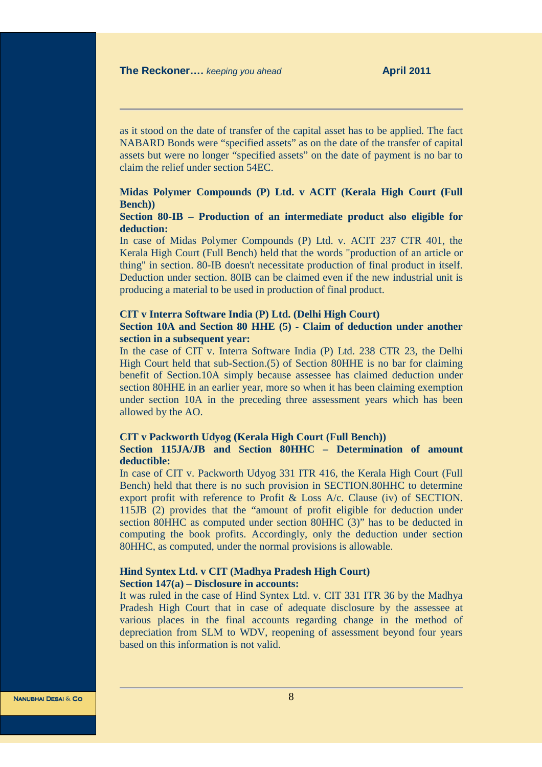as it stood on the date of transfer of the capital asset has to be applied. The fact NABARD Bonds were "specified assets" as on the date of the transfer of capital assets but were no longer "specified assets" on the date of payment is no bar to claim the relief under section 54EC.

# **Midas Polymer Compounds (P) Ltd. v ACIT (Kerala High Court (Full Bench))**

# **Section 80-IB – Production of an intermediate product also eligible for deduction:**

In case of Midas Polymer Compounds (P) Ltd. v. ACIT 237 CTR 401, the Kerala High Court (Full Bench) held that the words "production of an article or thing" in section. 80-IB doesn't necessitate production of final product in itself. Deduction under section. 80IB can be claimed even if the new industrial unit is producing a material to be used in production of final product.

#### **CIT v Interra Software India (P) Ltd. (Delhi High Court)**

# **Section 10A and Section 80 HHE (5) - Claim of deduction under another section in a subsequent year:**

In the case of CIT v. Interra Software India (P) Ltd. 238 CTR 23, the Delhi High Court held that sub-Section.(5) of Section 80HHE is no bar for claiming benefit of Section.10A simply because assessee has claimed deduction under section 80HHE in an earlier year, more so when it has been claiming exemption under section 10A in the preceding three assessment years which has been allowed by the AO.

#### **CIT v Packworth Udyog (Kerala High Court (Full Bench)) Section 115JA/JB and Section 80HHC – Determination of amount deductible:**

In case of CIT v. Packworth Udyog 331 ITR 416, the Kerala High Court (Full Bench) held that there is no such provision in SECTION.80HHC to determine export profit with reference to Profit & Loss A/c. Clause (iv) of SECTION. 115JB (2) provides that the "amount of profit eligible for deduction under section 80HHC as computed under section 80HHC (3)" has to be deducted in computing the book profits. Accordingly, only the deduction under section 80HHC, as computed, under the normal provisions is allowable.

# **Hind Syntex Ltd. v CIT (Madhya Pradesh High Court) Section 147(a) – Disclosure in accounts:**

It was ruled in the case of Hind Syntex Ltd. v. CIT 331 ITR 36 by the Madhya Pradesh High Court that in case of adequate disclosure by the assessee at various places in the final accounts regarding change in the method of depreciation from SLM to WDV, reopening of assessment beyond four years based on this information is not valid.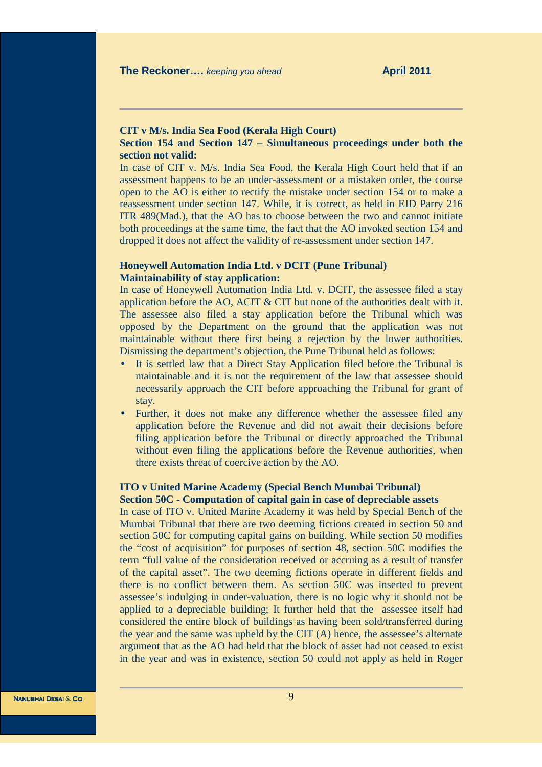# **CIT v M/s. India Sea Food (Kerala High Court)**

# **Section 154 and Section 147 – Simultaneous proceedings under both the section not valid:**

In case of CIT v. M/s. India Sea Food, the Kerala High Court held that if an assessment happens to be an under-assessment or a mistaken order, the course open to the AO is either to rectify the mistake under section 154 or to make a reassessment under section 147. While, it is correct, as held in EID Parry 216 ITR 489(Mad.), that the AO has to choose between the two and cannot initiate both proceedings at the same time, the fact that the AO invoked section 154 and dropped it does not affect the validity of re-assessment under section 147.

## **Honeywell Automation India Ltd. v DCIT (Pune Tribunal) Maintainability of stay application:**

In case of Honeywell Automation India Ltd. v. DCIT, the assessee filed a stay application before the AO, ACIT & CIT but none of the authorities dealt with it. The assessee also filed a stay application before the Tribunal which was opposed by the Department on the ground that the application was not maintainable without there first being a rejection by the lower authorities. Dismissing the department's objection, the Pune Tribunal held as follows:

- It is settled law that a Direct Stay Application filed before the Tribunal is maintainable and it is not the requirement of the law that assessee should necessarily approach the CIT before approaching the Tribunal for grant of stay.
- Further, it does not make any difference whether the assessee filed any application before the Revenue and did not await their decisions before filing application before the Tribunal or directly approached the Tribunal without even filing the applications before the Revenue authorities, when there exists threat of coercive action by the AO.

### **ITO v United Marine Academy (Special Bench Mumbai Tribunal) Section 50C - Computation of capital gain in case of depreciable assets**

In case of ITO v. United Marine Academy it was held by Special Bench of the Mumbai Tribunal that there are two deeming fictions created in section 50 and section 50C for computing capital gains on building. While section 50 modifies the "cost of acquisition" for purposes of section 48, section 50C modifies the term "full value of the consideration received or accruing as a result of transfer of the capital asset". The two deeming fictions operate in different fields and there is no conflict between them. As section 50C was inserted to prevent assessee's indulging in under-valuation, there is no logic why it should not be applied to a depreciable building; It further held that the assessee itself had considered the entire block of buildings as having been sold/transferred during the year and the same was upheld by the CIT (A) hence, the assessee's alternate argument that as the AO had held that the block of asset had not ceased to exist in the year and was in existence, section 50 could not apply as held in Roger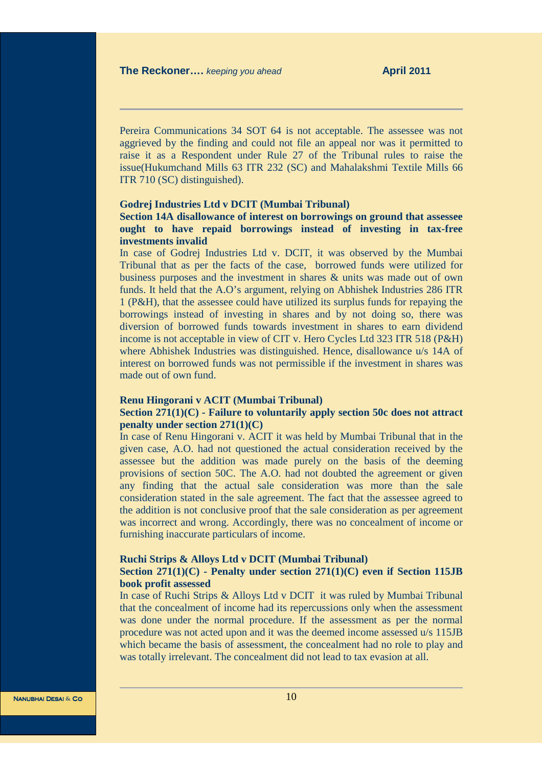Pereira Communications 34 SOT 64 is not acceptable. The assessee was not aggrieved by the finding and could not file an appeal nor was it permitted to raise it as a Respondent under Rule 27 of the Tribunal rules to raise the issue(Hukumchand Mills 63 ITR 232 (SC) and Mahalakshmi Textile Mills 66 ITR 710 (SC) distinguished).

#### **Godrej Industries Ltd v DCIT (Mumbai Tribunal)**

# **Section 14A disallowance of interest on borrowings on ground that assessee ought to have repaid borrowings instead of investing in tax-free investments invalid**

In case of Godrej Industries Ltd v. DCIT, it was observed by the Mumbai Tribunal that as per the facts of the case, borrowed funds were utilized for business purposes and the investment in shares & units was made out of own funds. It held that the A.O's argument, relying on Abhishek Industries 286 ITR 1 (P&H), that the assessee could have utilized its surplus funds for repaying the borrowings instead of investing in shares and by not doing so, there was diversion of borrowed funds towards investment in shares to earn dividend income is not acceptable in view of CIT v. Hero Cycles Ltd 323 ITR 518 (P&H) where Abhishek Industries was distinguished. Hence, disallowance u/s 14A of interest on borrowed funds was not permissible if the investment in shares was made out of own fund.

#### **Renu Hingorani v ACIT (Mumbai Tribunal)**

## **Section 271(1)(C) - Failure to voluntarily apply section 50c does not attract penalty under section 271(1)(C)**

In case of Renu Hingorani v. ACIT it was held by Mumbai Tribunal that in the given case, A.O. had not questioned the actual consideration received by the assessee but the addition was made purely on the basis of the deeming provisions of section 50C. The A.O. had not doubted the agreement or given any finding that the actual sale consideration was more than the sale consideration stated in the sale agreement. The fact that the assessee agreed to the addition is not conclusive proof that the sale consideration as per agreement was incorrect and wrong. Accordingly, there was no concealment of income or furnishing inaccurate particulars of income.

#### **Ruchi Strips & Alloys Ltd v DCIT (Mumbai Tribunal)**

## **Section 271(1)(C) - Penalty under section 271(1)(C) even if Section 115JB book profit assessed**

In case of Ruchi Strips & Alloys Ltd v DCIT it was ruled by Mumbai Tribunal that the concealment of income had its repercussions only when the assessment was done under the normal procedure. If the assessment as per the normal procedure was not acted upon and it was the deemed income assessed u/s 115JB which became the basis of assessment, the concealment had no role to play and was totally irrelevant. The concealment did not lead to tax evasion at all.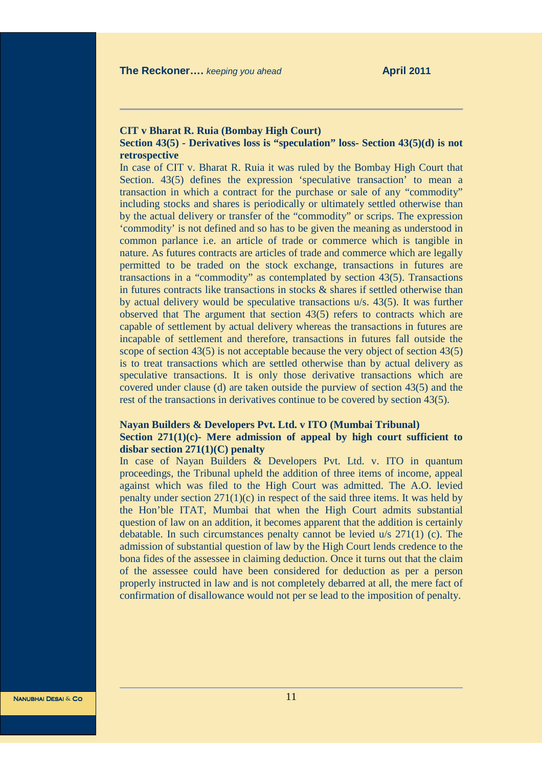### **CIT v Bharat R. Ruia (Bombay High Court)**

# **Section 43(5) - Derivatives loss is "speculation" loss- Section 43(5)(d) is not retrospective**

In case of CIT v. Bharat R. Ruia it was ruled by the Bombay High Court that Section. 43(5) defines the expression 'speculative transaction' to mean a transaction in which a contract for the purchase or sale of any "commodity" including stocks and shares is periodically or ultimately settled otherwise than by the actual delivery or transfer of the "commodity" or scrips. The expression 'commodity' is not defined and so has to be given the meaning as understood in common parlance i.e. an article of trade or commerce which is tangible in nature. As futures contracts are articles of trade and commerce which are legally permitted to be traded on the stock exchange, transactions in futures are transactions in a "commodity" as contemplated by section 43(5). Transactions in futures contracts like transactions in stocks  $\&$  shares if settled otherwise than by actual delivery would be speculative transactions u/s. 43(5). It was further observed that The argument that section 43(5) refers to contracts which are capable of settlement by actual delivery whereas the transactions in futures are incapable of settlement and therefore, transactions in futures fall outside the scope of section 43(5) is not acceptable because the very object of section 43(5) is to treat transactions which are settled otherwise than by actual delivery as speculative transactions. It is only those derivative transactions which are covered under clause (d) are taken outside the purview of section 43(5) and the rest of the transactions in derivatives continue to be covered by section 43(5).

## **Nayan Builders & Developers Pvt. Ltd. v ITO (Mumbai Tribunal) Section 271(1)(c)- Mere admission of appeal by high court sufficient to disbar section 271(1)(C) penalty**

In case of Nayan Builders & Developers Pvt. Ltd. v. ITO in quantum proceedings, the Tribunal upheld the addition of three items of income, appeal against which was filed to the High Court was admitted. The A.O. levied penalty under section  $271(1)(c)$  in respect of the said three items. It was held by the Hon'ble ITAT, Mumbai that when the High Court admits substantial question of law on an addition, it becomes apparent that the addition is certainly debatable. In such circumstances penalty cannot be levied u/s 271(1) (c). The admission of substantial question of law by the High Court lends credence to the bona fides of the assessee in claiming deduction. Once it turns out that the claim of the assessee could have been considered for deduction as per a person properly instructed in law and is not completely debarred at all, the mere fact of confirmation of disallowance would not per se lead to the imposition of penalty.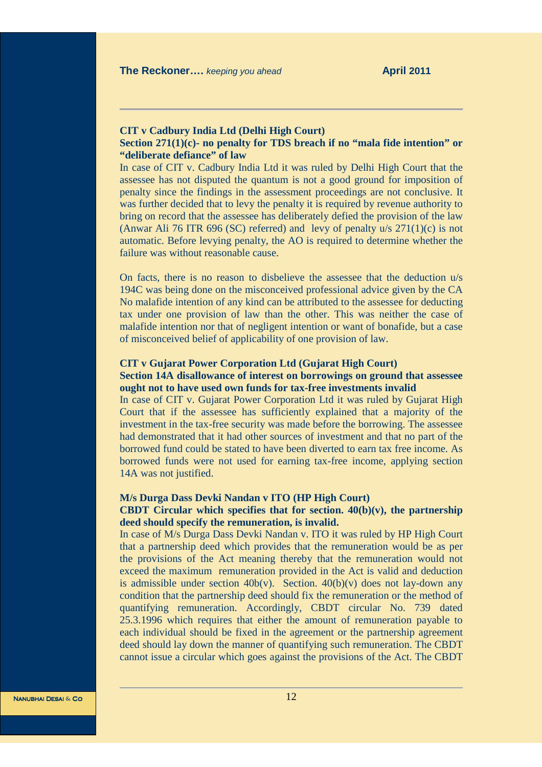# **CIT v Cadbury India Ltd (Delhi High Court)**

### **Section 271(1)(c)- no penalty for TDS breach if no "mala fide intention" or "deliberate defiance" of law**

In case of CIT v. Cadbury India Ltd it was ruled by Delhi High Court that the assessee has not disputed the quantum is not a good ground for imposition of penalty since the findings in the assessment proceedings are not conclusive. It was further decided that to levy the penalty it is required by revenue authority to bring on record that the assessee has deliberately defied the provision of the law (Anwar Ali 76 ITR 696 (SC) referred) and levy of penalty  $u/s$  271(1)(c) is not automatic. Before levying penalty, the AO is required to determine whether the failure was without reasonable cause.

On facts, there is no reason to disbelieve the assessee that the deduction u/s 194C was being done on the misconceived professional advice given by the CA No malafide intention of any kind can be attributed to the assessee for deducting tax under one provision of law than the other. This was neither the case of malafide intention nor that of negligent intention or want of bonafide, but a case of misconceived belief of applicability of one provision of law.

#### **CIT v Gujarat Power Corporation Ltd (Gujarat High Court)**

# **Section 14A disallowance of interest on borrowings on ground that assessee ought not to have used own funds for tax-free investments invalid**

In case of CIT v. Gujarat Power Corporation Ltd it was ruled by Gujarat High Court that if the assessee has sufficiently explained that a majority of the investment in the tax-free security was made before the borrowing. The assessee had demonstrated that it had other sources of investment and that no part of the borrowed fund could be stated to have been diverted to earn tax free income. As borrowed funds were not used for earning tax-free income, applying section 14A was not justified.

#### **M/s Durga Dass Devki Nandan v ITO (HP High Court)**

## **CBDT Circular which specifies that for section. 40(b)(v), the partnership deed should specify the remuneration, is invalid.**

In case of M/s Durga Dass Devki Nandan v. ITO it was ruled by HP High Court that a partnership deed which provides that the remuneration would be as per the provisions of the Act meaning thereby that the remuneration would not exceed the maximum remuneration provided in the Act is valid and deduction is admissible under section 40b(v). Section.  $40(b)(v)$  does not lay-down any condition that the partnership deed should fix the remuneration or the method of quantifying remuneration. Accordingly, CBDT circular No. 739 dated 25.3.1996 which requires that either the amount of remuneration payable to each individual should be fixed in the agreement or the partnership agreement deed should lay down the manner of quantifying such remuneration. The CBDT cannot issue a circular which goes against the provisions of the Act. The CBDT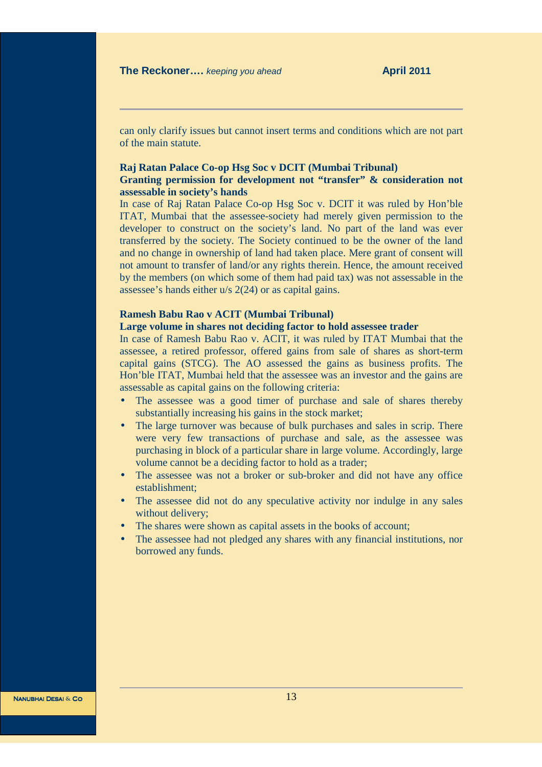can only clarify issues but cannot insert terms and conditions which are not part of the main statute.

#### **Raj Ratan Palace Co-op Hsg Soc v DCIT (Mumbai Tribunal)**

#### **Granting permission for development not "transfer" & consideration not assessable in society's hands**

In case of Raj Ratan Palace Co-op Hsg Soc v. DCIT it was ruled by Hon'ble ITAT, Mumbai that the assessee-society had merely given permission to the developer to construct on the society's land. No part of the land was ever transferred by the society. The Society continued to be the owner of the land and no change in ownership of land had taken place. Mere grant of consent will not amount to transfer of land/or any rights therein. Hence, the amount received by the members (on which some of them had paid tax) was not assessable in the assessee's hands either u/s 2(24) or as capital gains.

#### **Ramesh Babu Rao v ACIT (Mumbai Tribunal)**

### **Large volume in shares not deciding factor to hold assessee trader**

In case of Ramesh Babu Rao v. ACIT, it was ruled by ITAT Mumbai that the assessee, a retired professor, offered gains from sale of shares as short-term capital gains (STCG). The AO assessed the gains as business profits. The Hon'ble ITAT, Mumbai held that the assessee was an investor and the gains are assessable as capital gains on the following criteria:

- The assessee was a good timer of purchase and sale of shares thereby substantially increasing his gains in the stock market;
- The large turnover was because of bulk purchases and sales in scrip. There were very few transactions of purchase and sale, as the assessee was purchasing in block of a particular share in large volume. Accordingly, large volume cannot be a deciding factor to hold as a trader;
- The assessee was not a broker or sub-broker and did not have any office establishment;
- The assessee did not do any speculative activity nor indulge in any sales without delivery;
- The shares were shown as capital assets in the books of account;
- The assessee had not pledged any shares with any financial institutions, nor borrowed any funds.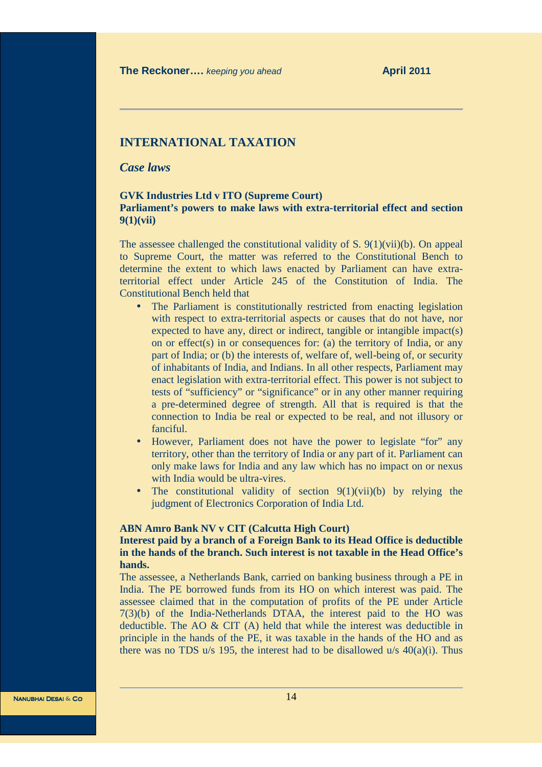# **INTERNATIONAL TAXATION**

# *Case laws*

#### **GVK Industries Ltd v ITO (Supreme Court) Parliament's powers to make laws with extra-territorial effect and section 9(1)(vii)**

The assessee challenged the constitutional validity of S.  $9(1)(\n{\rm vii})(\n{\rm b})$ . On appeal to Supreme Court, the matter was referred to the Constitutional Bench to determine the extent to which laws enacted by Parliament can have extraterritorial effect under Article 245 of the Constitution of India. The Constitutional Bench held that

- The Parliament is constitutionally restricted from enacting legislation with respect to extra-territorial aspects or causes that do not have, nor expected to have any, direct or indirect, tangible or intangible impact(s) on or effect(s) in or consequences for: (a) the territory of India, or any part of India; or (b) the interests of, welfare of, well-being of, or security of inhabitants of India, and Indians. In all other respects, Parliament may enact legislation with extra-territorial effect. This power is not subject to tests of "sufficiency" or "significance" or in any other manner requiring a pre-determined degree of strength. All that is required is that the connection to India be real or expected to be real, and not illusory or fanciful.
- However, Parliament does not have the power to legislate "for" any territory, other than the territory of India or any part of it. Parliament can only make laws for India and any law which has no impact on or nexus with India would be ultra-vires.
- The constitutional validity of section  $9(1)(\text{vii})(b)$  by relying the judgment of Electronics Corporation of India Ltd.

#### **ABN Amro Bank NV v CIT (Calcutta High Court)**

# **Interest paid by a branch of a Foreign Bank to its Head Office is deductible in the hands of the branch. Such interest is not taxable in the Head Office's hands.**

The assessee, a Netherlands Bank, carried on banking business through a PE in India. The PE borrowed funds from its HO on which interest was paid. The assessee claimed that in the computation of profits of the PE under Article 7(3)(b) of the India-Netherlands DTAA, the interest paid to the HO was deductible. The AO & CIT (A) held that while the interest was deductible in principle in the hands of the PE, it was taxable in the hands of the HO and as there was no TDS  $u/s$  195, the interest had to be disallowed  $u/s$  40(a)(i). Thus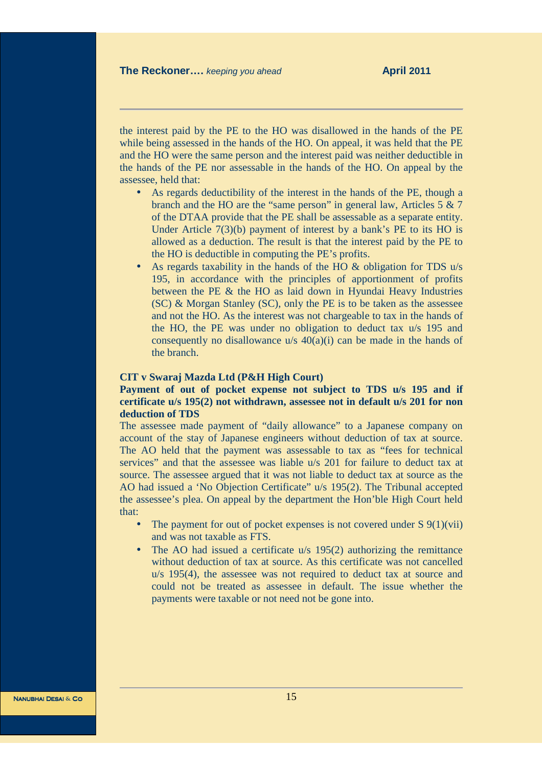the interest paid by the PE to the HO was disallowed in the hands of the PE while being assessed in the hands of the HO. On appeal, it was held that the PE and the HO were the same person and the interest paid was neither deductible in the hands of the PE nor assessable in the hands of the HO. On appeal by the assessee, held that:

- As regards deductibility of the interest in the hands of the PE, though a branch and the HO are the "same person" in general law, Articles 5 & 7 of the DTAA provide that the PE shall be assessable as a separate entity. Under Article 7(3)(b) payment of interest by a bank's PE to its HO is allowed as a deduction. The result is that the interest paid by the PE to the HO is deductible in computing the PE's profits.
- As regards taxability in the hands of the HO & obligation for TDS u/s 195, in accordance with the principles of apportionment of profits between the PE & the HO as laid down in Hyundai Heavy Industries (SC) & Morgan Stanley (SC), only the PE is to be taken as the assessee and not the HO. As the interest was not chargeable to tax in the hands of the HO, the PE was under no obligation to deduct tax u/s 195 and consequently no disallowance  $u/s$  40(a)(i) can be made in the hands of the branch.

#### **CIT v Swaraj Mazda Ltd (P&H High Court)**

# **Payment of out of pocket expense not subject to TDS u/s 195 and if certificate u/s 195(2) not withdrawn, assessee not in default u/s 201 for non deduction of TDS**

The assessee made payment of "daily allowance" to a Japanese company on account of the stay of Japanese engineers without deduction of tax at source. The AO held that the payment was assessable to tax as "fees for technical services" and that the assessee was liable u/s 201 for failure to deduct tax at source. The assessee argued that it was not liable to deduct tax at source as the AO had issued a 'No Objection Certificate" u/s 195(2). The Tribunal accepted the assessee's plea. On appeal by the department the Hon'ble High Court held that:

- The payment for out of pocket expenses is not covered under  $S(9(1)(\tilde{\text{vii}}))$ and was not taxable as FTS.
- The AO had issued a certificate u/s 195(2) authorizing the remittance without deduction of tax at source. As this certificate was not cancelled u/s 195(4), the assessee was not required to deduct tax at source and could not be treated as assessee in default. The issue whether the payments were taxable or not need not be gone into.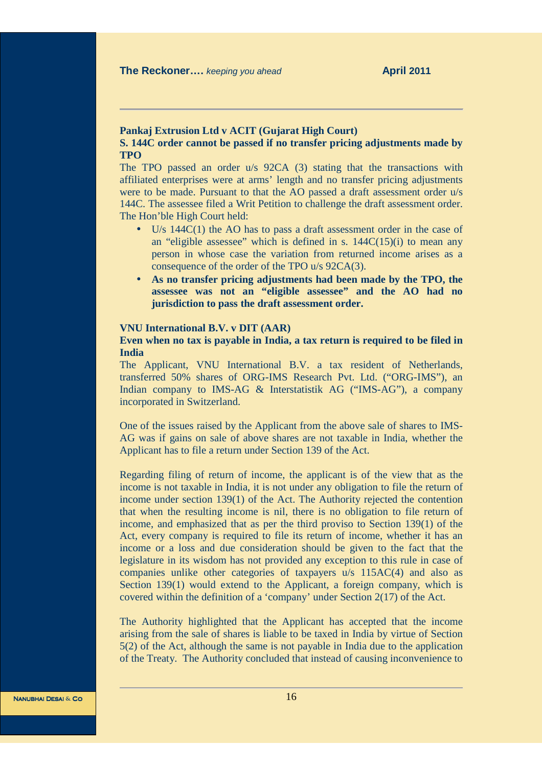#### **Pankaj Extrusion Ltd v ACIT (Gujarat High Court)**

# **S. 144C order cannot be passed if no transfer pricing adjustments made by TPO**

The TPO passed an order u/s 92CA (3) stating that the transactions with affiliated enterprises were at arms' length and no transfer pricing adjustments were to be made. Pursuant to that the AO passed a draft assessment order u/s 144C. The assessee filed a Writ Petition to challenge the draft assessment order. The Hon'ble High Court held:

- U/s 144C(1) the AO has to pass a draft assessment order in the case of an "eligible assessee" which is defined in s.  $144C(15)(i)$  to mean any person in whose case the variation from returned income arises as a consequence of the order of the TPO u/s 92CA(3).
- **As no transfer pricing adjustments had been made by the TPO, the assessee was not an "eligible assessee" and the AO had no jurisdiction to pass the draft assessment order.**

#### **VNU International B.V. v DIT (AAR)**

## **Even when no tax is payable in India, a tax return is required to be filed in India**

The Applicant, VNU International B.V. a tax resident of Netherlands, transferred 50% shares of ORG-IMS Research Pvt. Ltd. ("ORG-IMS"), an Indian company to IMS-AG & Interstatistik AG ("IMS-AG"), a company incorporated in Switzerland.

One of the issues raised by the Applicant from the above sale of shares to IMS-AG was if gains on sale of above shares are not taxable in India, whether the Applicant has to file a return under Section 139 of the Act.

Regarding filing of return of income, the applicant is of the view that as the income is not taxable in India, it is not under any obligation to file the return of income under section 139(1) of the Act. The Authority rejected the contention that when the resulting income is nil, there is no obligation to file return of income, and emphasized that as per the third proviso to Section 139(1) of the Act, every company is required to file its return of income, whether it has an income or a loss and due consideration should be given to the fact that the legislature in its wisdom has not provided any exception to this rule in case of companies unlike other categories of taxpayers u/s 115AC(4) and also as Section 139(1) would extend to the Applicant, a foreign company, which is covered within the definition of a 'company' under Section 2(17) of the Act.

The Authority highlighted that the Applicant has accepted that the income arising from the sale of shares is liable to be taxed in India by virtue of Section 5(2) of the Act, although the same is not payable in India due to the application of the Treaty. The Authority concluded that instead of causing inconvenience to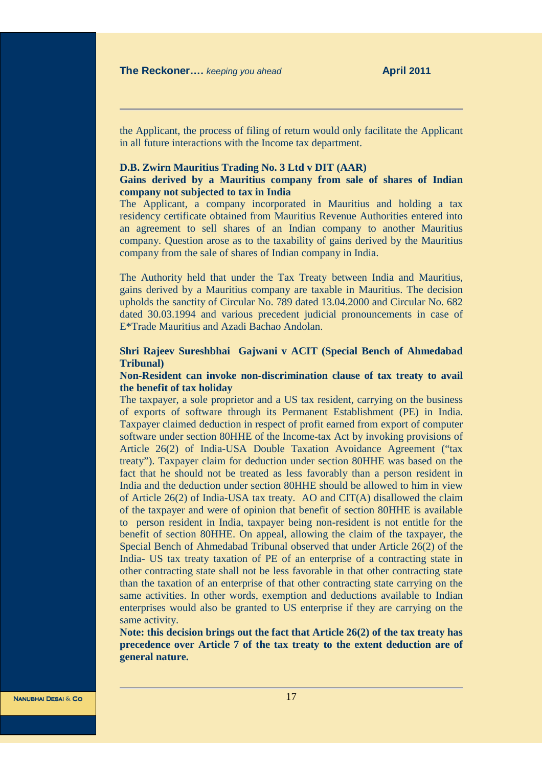the Applicant, the process of filing of return would only facilitate the Applicant in all future interactions with the Income tax department.

#### **D.B. Zwirn Mauritius Trading No. 3 Ltd v DIT (AAR)**

### **Gains derived by a Mauritius company from sale of shares of Indian company not subjected to tax in India**

The Applicant, a company incorporated in Mauritius and holding a tax residency certificate obtained from Mauritius Revenue Authorities entered into an agreement to sell shares of an Indian company to another Mauritius company. Question arose as to the taxability of gains derived by the Mauritius company from the sale of shares of Indian company in India.

The Authority held that under the Tax Treaty between India and Mauritius, gains derived by a Mauritius company are taxable in Mauritius. The decision upholds the sanctity of Circular No. 789 dated 13.04.2000 and Circular No. 682 dated 30.03.1994 and various precedent judicial pronouncements in case of E\*Trade Mauritius and Azadi Bachao Andolan.

# **Shri Rajeev Sureshbhai Gajwani v ACIT (Special Bench of Ahmedabad Tribunal)**

# **Non-Resident can invoke non-discrimination clause of tax treaty to avail the benefit of tax holiday**

The taxpayer, a sole proprietor and a US tax resident, carrying on the business of exports of software through its Permanent Establishment (PE) in India. Taxpayer claimed deduction in respect of profit earned from export of computer software under section 80HHE of the Income-tax Act by invoking provisions of Article 26(2) of India-USA Double Taxation Avoidance Agreement ("tax treaty"). Taxpayer claim for deduction under section 80HHE was based on the fact that he should not be treated as less favorably than a person resident in India and the deduction under section 80HHE should be allowed to him in view of Article  $26(2)$  of India-USA tax treaty. AO and CIT(A) disallowed the claim of the taxpayer and were of opinion that benefit of section 80HHE is available to person resident in India, taxpayer being non-resident is not entitle for the benefit of section 80HHE. On appeal, allowing the claim of the taxpayer, the Special Bench of Ahmedabad Tribunal observed that under Article 26(2) of the India- US tax treaty taxation of PE of an enterprise of a contracting state in other contracting state shall not be less favorable in that other contracting state than the taxation of an enterprise of that other contracting state carrying on the same activities. In other words, exemption and deductions available to Indian enterprises would also be granted to US enterprise if they are carrying on the same activity.

**Note: this decision brings out the fact that Article 26(2) of the tax treaty has precedence over Article 7 of the tax treaty to the extent deduction are of general nature.**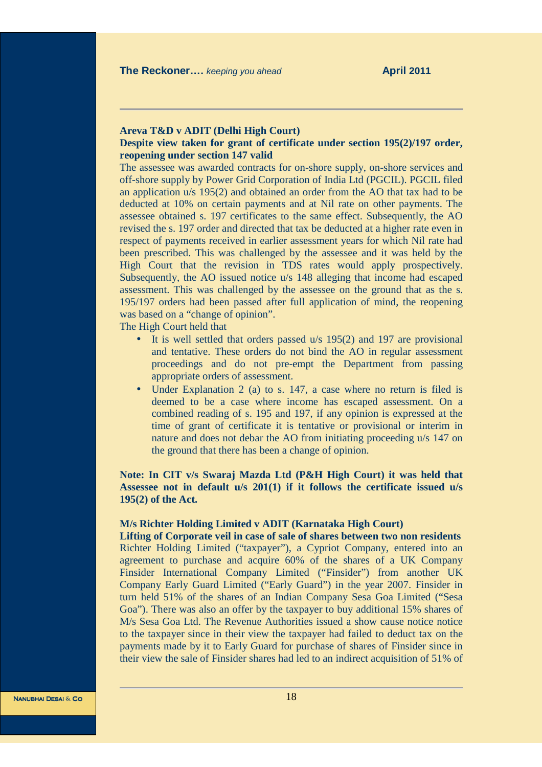# **Areva T&D v ADIT (Delhi High Court)**

#### **Despite view taken for grant of certificate under section 195(2)/197 order, reopening under section 147 valid**

The assessee was awarded contracts for on-shore supply, on-shore services and off-shore supply by Power Grid Corporation of India Ltd (PGCIL). PGCIL filed an application u/s 195(2) and obtained an order from the AO that tax had to be deducted at 10% on certain payments and at Nil rate on other payments. The assessee obtained s. 197 certificates to the same effect. Subsequently, the AO revised the s. 197 order and directed that tax be deducted at a higher rate even in respect of payments received in earlier assessment years for which Nil rate had been prescribed. This was challenged by the assessee and it was held by the High Court that the revision in TDS rates would apply prospectively. Subsequently, the AO issued notice u/s 148 alleging that income had escaped assessment. This was challenged by the assessee on the ground that as the s. 195/197 orders had been passed after full application of mind, the reopening was based on a "change of opinion".

The High Court held that

- It is well settled that orders passed u/s 195(2) and 197 are provisional and tentative. These orders do not bind the AO in regular assessment proceedings and do not pre-empt the Department from passing appropriate orders of assessment.
- Under Explanation 2 (a) to s. 147, a case where no return is filed is deemed to be a case where income has escaped assessment. On a combined reading of s. 195 and 197, if any opinion is expressed at the time of grant of certificate it is tentative or provisional or interim in nature and does not debar the AO from initiating proceeding u/s 147 on the ground that there has been a change of opinion.

# **Note: In CIT v/s Swaraj Mazda Ltd (P&H High Court) it was held that Assessee not in default u/s 201(1) if it follows the certificate issued u/s 195(2) of the Act.**

#### **M/s Richter Holding Limited v ADIT (Karnataka High Court)**

**Lifting of Corporate veil in case of sale of shares between two non residents**  Richter Holding Limited ("taxpayer"), a Cypriot Company, entered into an agreement to purchase and acquire 60% of the shares of a UK Company Finsider International Company Limited ("Finsider") from another UK Company Early Guard Limited ("Early Guard") in the year 2007. Finsider in turn held 51% of the shares of an Indian Company Sesa Goa Limited ("Sesa Goa"). There was also an offer by the taxpayer to buy additional 15% shares of M/s Sesa Goa Ltd. The Revenue Authorities issued a show cause notice notice to the taxpayer since in their view the taxpayer had failed to deduct tax on the payments made by it to Early Guard for purchase of shares of Finsider since in their view the sale of Finsider shares had led to an indirect acquisition of 51% of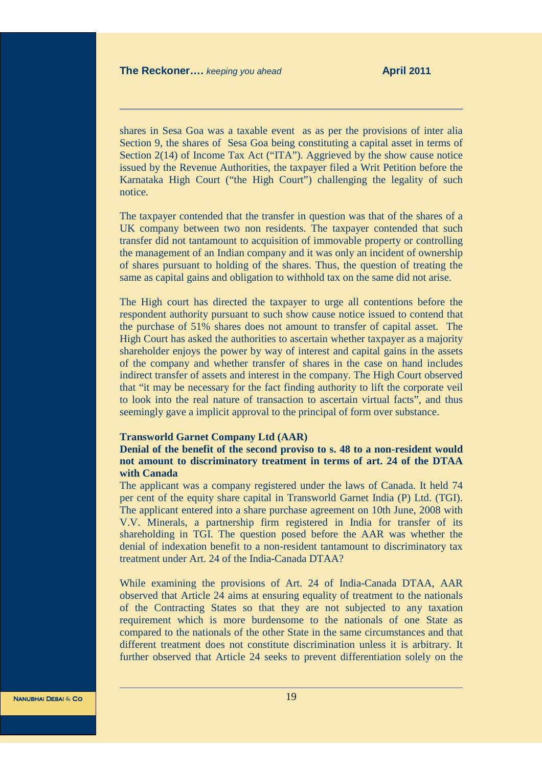shares in Sesa Goa was a taxable event as as per the provisions of inter alia Section 9, the shares of Sesa Goa being constituting a capital asset in terms of Section 2(14) of Income Tax Act ("ITA"). Aggrieved by the show cause notice issued by the Revenue Authorities, the taxpayer filed a Writ Petition before the Karnataka High Court ("the High Court") challenging the legality of such notice.

The taxpayer contended that the transfer in question was that of the shares of a UK company between two non residents. The taxpayer contended that such transfer did not tantamount to acquisition of immovable property or controlling the management of an Indian company and it was only an incident of ownership of shares pursuant to holding of the shares. Thus, the question of treating the same as capital gains and obligation to withhold tax on the same did not arise.

The High court has directed the taxpayer to urge all contentions before the respondent authority pursuant to such show cause notice issued to contend that the purchase of 51% shares does not amount to transfer of capital asset. The High Court has asked the authorities to ascertain whether taxpayer as a majority shareholder enjoys the power by way of interest and capital gains in the assets of the company and whether transfer of shares in the case on hand includes indirect transfer of assets and interest in the company. The High Court observed that "it may be necessary for the fact finding authority to lift the corporate veil to look into the real nature of transaction to ascertain virtual facts", and thus seemingly gave a implicit approval to the principal of form over substance.

#### **Transworld Garnet Company Ltd (AAR)**

# **Denial of the benefit of the second proviso to s. 48 to a non-resident would not amount to discriminatory treatment in terms of art. 24 of the DTAA with Canada**

The applicant was a company registered under the laws of Canada. It held 74 per cent of the equity share capital in Transworld Garnet India (P) Ltd. (TGI). The applicant entered into a share purchase agreement on 10th June, 2008 with V.V. Minerals, a partnership firm registered in India for transfer of its shareholding in TGI. The question posed before the AAR was whether the denial of indexation benefit to a non-resident tantamount to discriminatory tax treatment under Art. 24 of the India-Canada DTAA?

While examining the provisions of Art. 24 of India-Canada DTAA, AAR observed that Article 24 aims at ensuring equality of treatment to the nationals of the Contracting States so that they are not subjected to any taxation requirement which is more burdensome to the nationals of one State as compared to the nationals of the other State in the same circumstances and that different treatment does not constitute discrimination unless it is arbitrary. It further observed that Article 24 seeks to prevent differentiation solely on the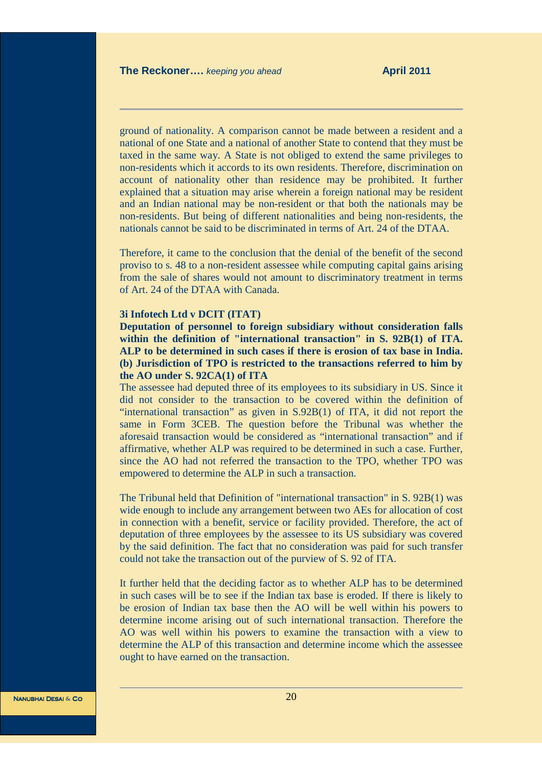ground of nationality. A comparison cannot be made between a resident and a national of one State and a national of another State to contend that they must be taxed in the same way. A State is not obliged to extend the same privileges to non-residents which it accords to its own residents. Therefore, discrimination on account of nationality other than residence may be prohibited. It further explained that a situation may arise wherein a foreign national may be resident and an Indian national may be non-resident or that both the nationals may be non-residents. But being of different nationalities and being non-residents, the nationals cannot be said to be discriminated in terms of Art. 24 of the DTAA.

Therefore, it came to the conclusion that the denial of the benefit of the second proviso to s. 48 to a non-resident assessee while computing capital gains arising from the sale of shares would not amount to discriminatory treatment in terms of Art. 24 of the DTAA with Canada.

#### **3i Infotech Ltd v DCIT (ITAT)**

**Deputation of personnel to foreign subsidiary without consideration falls within the definition of "international transaction" in S. 92B(1) of ITA. ALP to be determined in such cases if there is erosion of tax base in India. (b) Jurisdiction of TPO is restricted to the transactions referred to him by the AO under S. 92CA(1) of ITA** 

The assessee had deputed three of its employees to its subsidiary in US. Since it did not consider to the transaction to be covered within the definition of "international transaction" as given in S.92B(1) of ITA, it did not report the same in Form 3CEB. The question before the Tribunal was whether the aforesaid transaction would be considered as "international transaction" and if affirmative, whether ALP was required to be determined in such a case. Further, since the AO had not referred the transaction to the TPO, whether TPO was empowered to determine the ALP in such a transaction.

The Tribunal held that Definition of "international transaction" in S. 92B(1) was wide enough to include any arrangement between two AEs for allocation of cost in connection with a benefit, service or facility provided. Therefore, the act of deputation of three employees by the assessee to its US subsidiary was covered by the said definition. The fact that no consideration was paid for such transfer could not take the transaction out of the purview of S. 92 of ITA.

It further held that the deciding factor as to whether ALP has to be determined in such cases will be to see if the Indian tax base is eroded. If there is likely to be erosion of Indian tax base then the AO will be well within his powers to determine income arising out of such international transaction. Therefore the AO was well within his powers to examine the transaction with a view to determine the ALP of this transaction and determine income which the assessee ought to have earned on the transaction.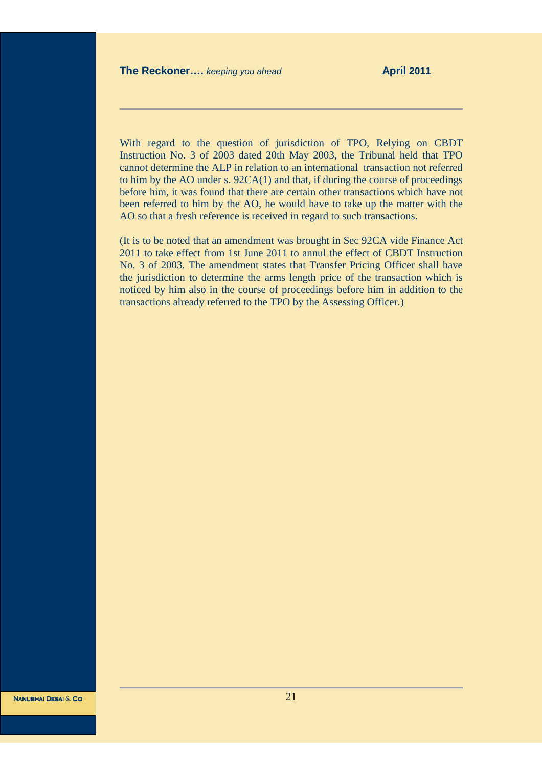With regard to the question of jurisdiction of TPO, Relying on CBDT Instruction No. 3 of 2003 dated 20th May 2003, the Tribunal held that TPO cannot determine the ALP in relation to an international transaction not referred to him by the AO under s. 92CA(1) and that, if during the course of proceedings before him, it was found that there are certain other transactions which have not been referred to him by the AO, he would have to take up the matter with the AO so that a fresh reference is received in regard to such transactions.

(It is to be noted that an amendment was brought in Sec 92CA vide Finance Act 2011 to take effect from 1st June 2011 to annul the effect of CBDT Instruction No. 3 of 2003. The amendment states that Transfer Pricing Officer shall have the jurisdiction to determine the arms length price of the transaction which is noticed by him also in the course of proceedings before him in addition to the transactions already referred to the TPO by the Assessing Officer.)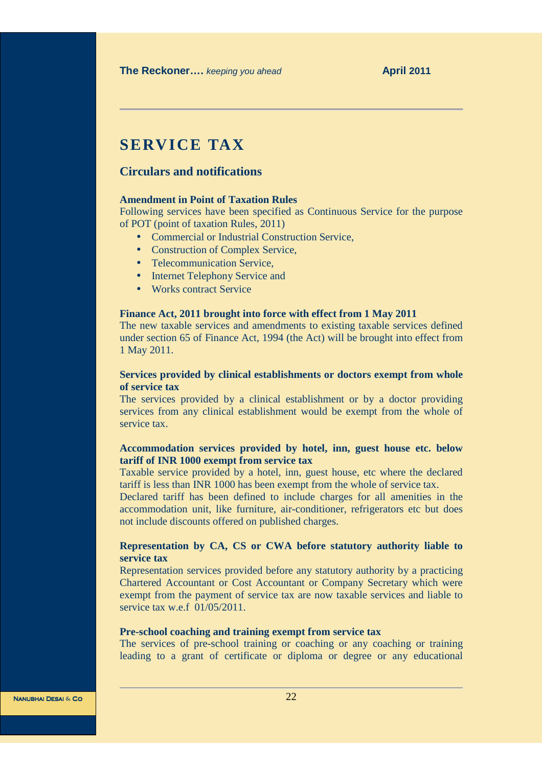# **SERVICE TAX**

# **Circulars and notifications**

### **Amendment in Point of Taxation Rules**

Following services have been specified as Continuous Service for the purpose of POT (point of taxation Rules, 2011)

- Commercial or Industrial Construction Service,
- Construction of Complex Service,
- Telecommunication Service,
- Internet Telephony Service and
- Works contract Service

### **Finance Act, 2011 brought into force with effect from 1 May 2011**

The new taxable services and amendments to existing taxable services defined under section 65 of Finance Act, 1994 (the Act) will be brought into effect from 1 May 2011.

# **Services provided by clinical establishments or doctors exempt from whole of service tax**

The services provided by a clinical establishment or by a doctor providing services from any clinical establishment would be exempt from the whole of service tax.

# **Accommodation services provided by hotel, inn, guest house etc. below tariff of INR 1000 exempt from service tax**

Taxable service provided by a hotel, inn, guest house, etc where the declared tariff is less than INR 1000 has been exempt from the whole of service tax.

Declared tariff has been defined to include charges for all amenities in the accommodation unit, like furniture, air-conditioner, refrigerators etc but does not include discounts offered on published charges.

# **Representation by CA, CS or CWA before statutory authority liable to service tax**

Representation services provided before any statutory authority by a practicing Chartered Accountant or Cost Accountant or Company Secretary which were exempt from the payment of service tax are now taxable services and liable to service tax w.e.f. 01/05/2011.

#### **Pre-school coaching and training exempt from service tax**

The services of pre-school training or coaching or any coaching or training leading to a grant of certificate or diploma or degree or any educational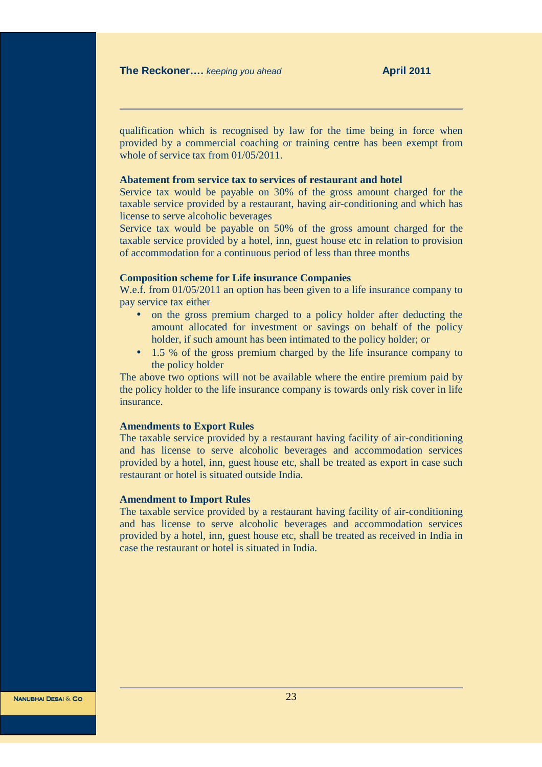qualification which is recognised by law for the time being in force when provided by a commercial coaching or training centre has been exempt from whole of service tax from  $01/05/2011$ .

#### **Abatement from service tax to services of restaurant and hotel**

Service tax would be payable on 30% of the gross amount charged for the taxable service provided by a restaurant, having air-conditioning and which has license to serve alcoholic beverages

Service tax would be payable on 50% of the gross amount charged for the taxable service provided by a hotel, inn, guest house etc in relation to provision of accommodation for a continuous period of less than three months

#### **Composition scheme for Life insurance Companies**

W.e.f. from 01/05/2011 an option has been given to a life insurance company to pay service tax either

- on the gross premium charged to a policy holder after deducting the amount allocated for investment or savings on behalf of the policy holder, if such amount has been intimated to the policy holder; or
- 1.5 % of the gross premium charged by the life insurance company to the policy holder

The above two options will not be available where the entire premium paid by the policy holder to the life insurance company is towards only risk cover in life insurance.

#### **Amendments to Export Rules**

The taxable service provided by a restaurant having facility of air-conditioning and has license to serve alcoholic beverages and accommodation services provided by a hotel, inn, guest house etc, shall be treated as export in case such restaurant or hotel is situated outside India.

#### **Amendment to Import Rules**

The taxable service provided by a restaurant having facility of air-conditioning and has license to serve alcoholic beverages and accommodation services provided by a hotel, inn, guest house etc, shall be treated as received in India in case the restaurant or hotel is situated in India.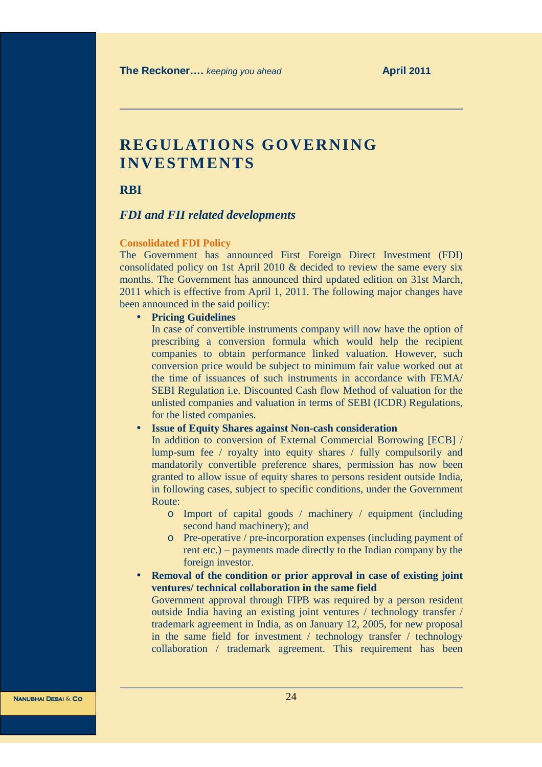# **REGULATIONS GOVERNING INVESTMENTS**

**RBI** 

## *FDI and FII related developments*

#### **Consolidated FDI Policy**

The Government has announced First Foreign Direct Investment (FDI) consolidated policy on 1st April 2010 & decided to review the same every six months. The Government has announced third updated edition on 31st March, 2011 which is effective from April 1, 2011. The following major changes have been announced in the said poilicy:

# • **Pricing Guidelines**

In case of convertible instruments company will now have the option of prescribing a conversion formula which would help the recipient companies to obtain performance linked valuation. However, such conversion price would be subject to minimum fair value worked out at the time of issuances of such instruments in accordance with FEMA/ SEBI Regulation i.e. Discounted Cash flow Method of valuation for the unlisted companies and valuation in terms of SEBI (ICDR) Regulations, for the listed companies.

# • **Issue of Equity Shares against Non-cash consideration**

In addition to conversion of External Commercial Borrowing [ECB] / lump-sum fee / royalty into equity shares / fully compulsorily and mandatorily convertible preference shares, permission has now been granted to allow issue of equity shares to persons resident outside India, in following cases, subject to specific conditions, under the Government Route:

- o Import of capital goods / machinery / equipment (including second hand machinery); and
- o Pre-operative / pre-incorporation expenses (including payment of rent etc.) – payments made directly to the Indian company by the foreign investor.
- **Removal of the condition or prior approval in case of existing joint ventures/ technical collaboration in the same field** Government approval through FIPB was required by a person resident

outside India having an existing joint ventures / technology transfer / trademark agreement in India, as on January 12, 2005, for new proposal in the same field for investment / technology transfer / technology collaboration / trademark agreement. This requirement has been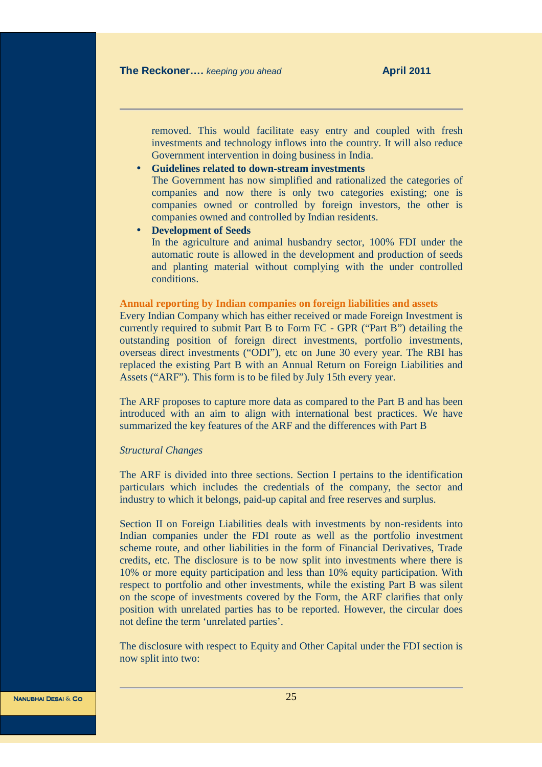removed. This would facilitate easy entry and coupled with fresh investments and technology inflows into the country. It will also reduce Government intervention in doing business in India.

# • **Guidelines related to down-stream investments**

The Government has now simplified and rationalized the categories of companies and now there is only two categories existing; one is companies owned or controlled by foreign investors, the other is companies owned and controlled by Indian residents.

#### • **Development of Seeds**

In the agriculture and animal husbandry sector, 100% FDI under the automatic route is allowed in the development and production of seeds and planting material without complying with the under controlled conditions.

#### **Annual reporting by Indian companies on foreign liabilities and assets**

Every Indian Company which has either received or made Foreign Investment is currently required to submit Part B to Form FC - GPR ("Part B") detailing the outstanding position of foreign direct investments, portfolio investments, overseas direct investments ("ODI"), etc on June 30 every year. The RBI has replaced the existing Part B with an Annual Return on Foreign Liabilities and Assets ("ARF"). This form is to be filed by July 15th every year.

The ARF proposes to capture more data as compared to the Part B and has been introduced with an aim to align with international best practices. We have summarized the key features of the ARF and the differences with Part B

#### *Structural Changes*

The ARF is divided into three sections. Section I pertains to the identification particulars which includes the credentials of the company, the sector and industry to which it belongs, paid-up capital and free reserves and surplus.

Section II on Foreign Liabilities deals with investments by non-residents into Indian companies under the FDI route as well as the portfolio investment scheme route, and other liabilities in the form of Financial Derivatives, Trade credits, etc. The disclosure is to be now split into investments where there is 10% or more equity participation and less than 10% equity participation. With respect to portfolio and other investments, while the existing Part B was silent on the scope of investments covered by the Form, the ARF clarifies that only position with unrelated parties has to be reported. However, the circular does not define the term 'unrelated parties'.

The disclosure with respect to Equity and Other Capital under the FDI section is now split into two: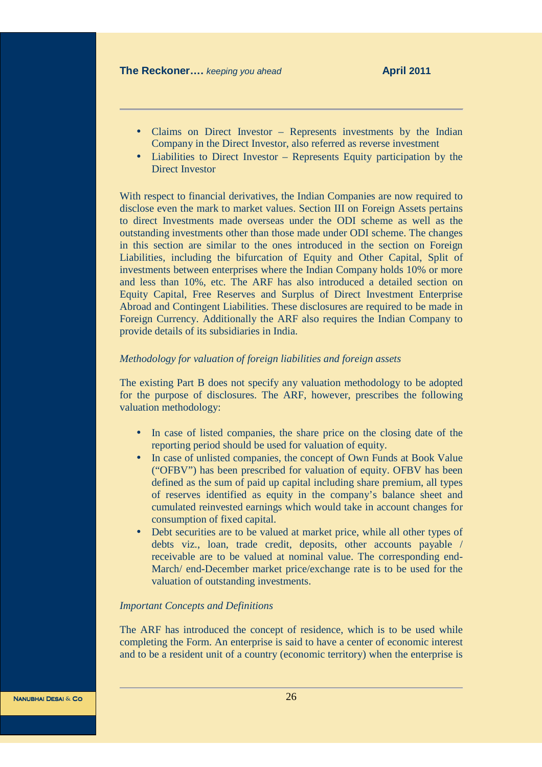- Claims on Direct Investor Represents investments by the Indian Company in the Direct Investor, also referred as reverse investment
- Liabilities to Direct Investor Represents Equity participation by the Direct Investor

With respect to financial derivatives, the Indian Companies are now required to disclose even the mark to market values. Section III on Foreign Assets pertains to direct Investments made overseas under the ODI scheme as well as the outstanding investments other than those made under ODI scheme. The changes in this section are similar to the ones introduced in the section on Foreign Liabilities, including the bifurcation of Equity and Other Capital, Split of investments between enterprises where the Indian Company holds 10% or more and less than 10%, etc. The ARF has also introduced a detailed section on Equity Capital, Free Reserves and Surplus of Direct Investment Enterprise Abroad and Contingent Liabilities. These disclosures are required to be made in Foreign Currency. Additionally the ARF also requires the Indian Company to provide details of its subsidiaries in India.

# *Methodology for valuation of foreign liabilities and foreign assets*

The existing Part B does not specify any valuation methodology to be adopted for the purpose of disclosures. The ARF, however, prescribes the following valuation methodology:

- In case of listed companies, the share price on the closing date of the reporting period should be used for valuation of equity.
- In case of unlisted companies, the concept of Own Funds at Book Value ("OFBV") has been prescribed for valuation of equity. OFBV has been defined as the sum of paid up capital including share premium, all types of reserves identified as equity in the company's balance sheet and cumulated reinvested earnings which would take in account changes for consumption of fixed capital.
- Debt securities are to be valued at market price, while all other types of debts viz., loan, trade credit, deposits, other accounts payable / receivable are to be valued at nominal value. The corresponding end-March/ end-December market price/exchange rate is to be used for the valuation of outstanding investments.

### *Important Concepts and Definitions*

The ARF has introduced the concept of residence, which is to be used while completing the Form. An enterprise is said to have a center of economic interest and to be a resident unit of a country (economic territory) when the enterprise is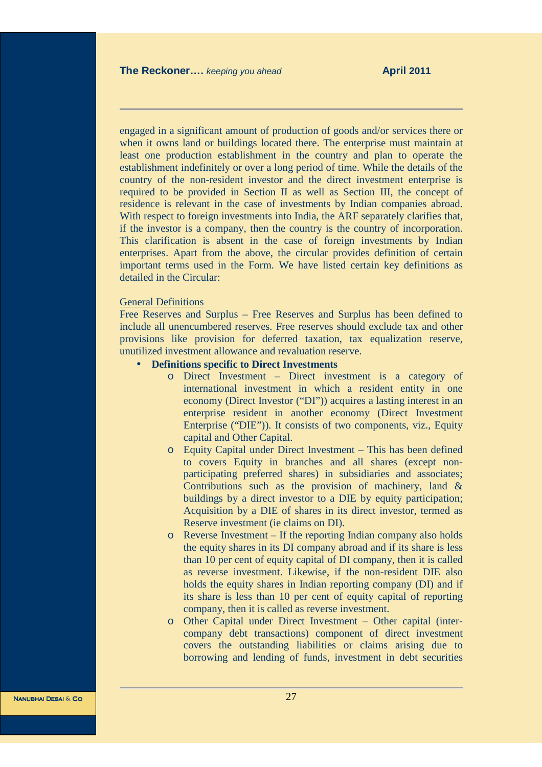engaged in a significant amount of production of goods and/or services there or when it owns land or buildings located there. The enterprise must maintain at least one production establishment in the country and plan to operate the establishment indefinitely or over a long period of time. While the details of the country of the non-resident investor and the direct investment enterprise is required to be provided in Section II as well as Section III, the concept of residence is relevant in the case of investments by Indian companies abroad. With respect to foreign investments into India, the ARF separately clarifies that, if the investor is a company, then the country is the country of incorporation. This clarification is absent in the case of foreign investments by Indian enterprises. Apart from the above, the circular provides definition of certain important terms used in the Form. We have listed certain key definitions as detailed in the Circular:

# General Definitions

Free Reserves and Surplus – Free Reserves and Surplus has been defined to include all unencumbered reserves. Free reserves should exclude tax and other provisions like provision for deferred taxation, tax equalization reserve, unutilized investment allowance and revaluation reserve.

# • **Definitions specific to Direct Investments**

- o Direct Investment Direct investment is a category of international investment in which a resident entity in one economy (Direct Investor ("DI")) acquires a lasting interest in an enterprise resident in another economy (Direct Investment Enterprise ("DIE")). It consists of two components, viz., Equity capital and Other Capital.
- o Equity Capital under Direct Investment This has been defined to covers Equity in branches and all shares (except nonparticipating preferred shares) in subsidiaries and associates; Contributions such as the provision of machinery, land & buildings by a direct investor to a DIE by equity participation; Acquisition by a DIE of shares in its direct investor, termed as Reserve investment (ie claims on DI).
- o Reverse Investment If the reporting Indian company also holds the equity shares in its DI company abroad and if its share is less than 10 per cent of equity capital of DI company, then it is called as reverse investment. Likewise, if the non-resident DIE also holds the equity shares in Indian reporting company (DI) and if its share is less than 10 per cent of equity capital of reporting company, then it is called as reverse investment.
- o Other Capital under Direct Investment Other capital (intercompany debt transactions) component of direct investment covers the outstanding liabilities or claims arising due to borrowing and lending of funds, investment in debt securities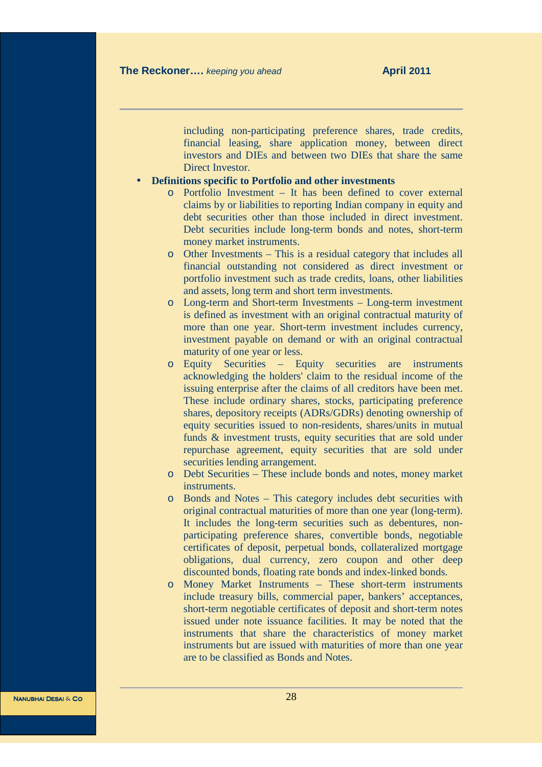including non-participating preference shares, trade credits, financial leasing, share application money, between direct investors and DIEs and between two DIEs that share the same Direct Investor.

### • **Definitions specific to Portfolio and other investments**

- o Portfolio Investment It has been defined to cover external claims by or liabilities to reporting Indian company in equity and debt securities other than those included in direct investment. Debt securities include long-term bonds and notes, short-term money market instruments.
- o Other Investments This is a residual category that includes all financial outstanding not considered as direct investment or portfolio investment such as trade credits, loans, other liabilities and assets, long term and short term investments.
- o Long-term and Short-term Investments Long-term investment is defined as investment with an original contractual maturity of more than one year. Short-term investment includes currency, investment payable on demand or with an original contractual maturity of one year or less.
- o Equity Securities Equity securities are instruments acknowledging the holders' claim to the residual income of the issuing enterprise after the claims of all creditors have been met. These include ordinary shares, stocks, participating preference shares, depository receipts (ADRs/GDRs) denoting ownership of equity securities issued to non-residents, shares/units in mutual funds & investment trusts, equity securities that are sold under repurchase agreement, equity securities that are sold under securities lending arrangement.
- o Debt Securities These include bonds and notes, money market instruments.
- o Bonds and Notes This category includes debt securities with original contractual maturities of more than one year (long-term). It includes the long-term securities such as debentures, nonparticipating preference shares, convertible bonds, negotiable certificates of deposit, perpetual bonds, collateralized mortgage obligations, dual currency, zero coupon and other deep discounted bonds, floating rate bonds and index-linked bonds.
- o Money Market Instruments These short-term instruments include treasury bills, commercial paper, bankers' acceptances, short-term negotiable certificates of deposit and short-term notes issued under note issuance facilities. It may be noted that the instruments that share the characteristics of money market instruments but are issued with maturities of more than one year are to be classified as Bonds and Notes.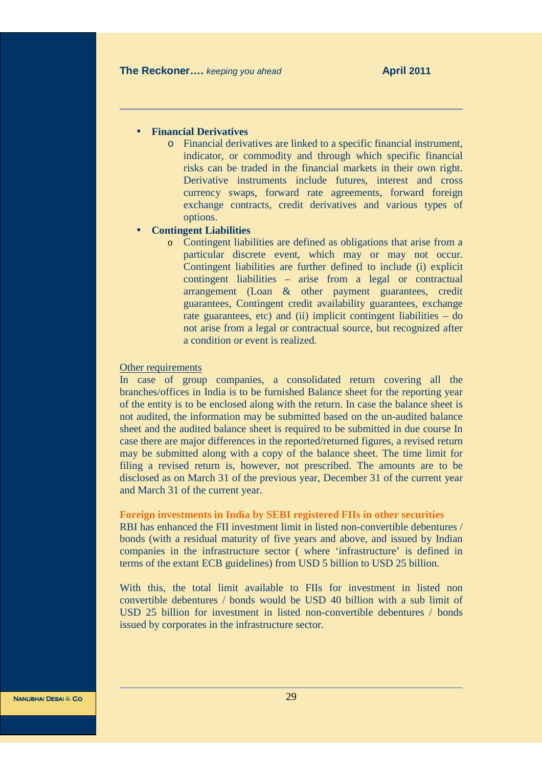#### • **Financial Derivatives**

o Financial derivatives are linked to a specific financial instrument, indicator, or commodity and through which specific financial risks can be traded in the financial markets in their own right. Derivative instruments include futures, interest and cross currency swaps, forward rate agreements, forward foreign exchange contracts, credit derivatives and various types of options.

### • **Contingent Liabilities**

o Contingent liabilities are defined as obligations that arise from a particular discrete event, which may or may not occur. Contingent liabilities are further defined to include (i) explicit contingent liabilities – arise from a legal or contractual arrangement (Loan & other payment guarantees, credit guarantees, Contingent credit availability guarantees, exchange rate guarantees, etc) and (ii) implicit contingent liabilities – do not arise from a legal or contractual source, but recognized after a condition or event is realized.

#### Other requirements

In case of group companies, a consolidated return covering all the branches/offices in India is to be furnished Balance sheet for the reporting year of the entity is to be enclosed along with the return. In case the balance sheet is not audited, the information may be submitted based on the un-audited balance sheet and the audited balance sheet is required to be submitted in due course In case there are major differences in the reported/returned figures, a revised return may be submitted along with a copy of the balance sheet. The time limit for filing a revised return is, however, not prescribed. The amounts are to be disclosed as on March 31 of the previous year, December 31 of the current year and March 31 of the current year.

### **Foreign investments in India by SEBI registered FIIs in other securities**

RBI has enhanced the FII investment limit in listed non-convertible debentures / bonds (with a residual maturity of five years and above, and issued by Indian companies in the infrastructure sector ( where 'infrastructure' is defined in terms of the extant ECB guidelines) from USD 5 billion to USD 25 billion.

With this, the total limit available to FIIs for investment in listed non convertible debentures / bonds would be USD 40 billion with a sub limit of USD 25 billion for investment in listed non-convertible debentures / bonds issued by corporates in the infrastructure sector.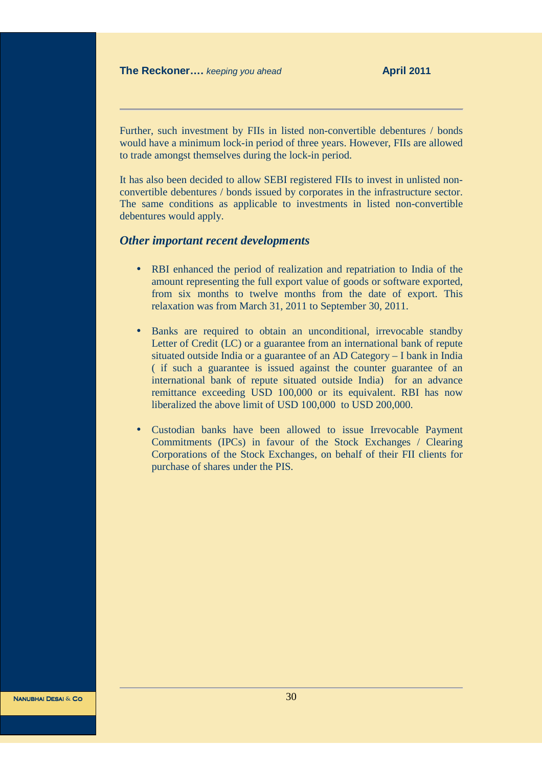Further, such investment by FIIs in listed non-convertible debentures / bonds would have a minimum lock-in period of three years. However, FIIs are allowed to trade amongst themselves during the lock-in period.

It has also been decided to allow SEBI registered FIIs to invest in unlisted nonconvertible debentures / bonds issued by corporates in the infrastructure sector. The same conditions as applicable to investments in listed non-convertible debentures would apply.

# *Other important recent developments*

- RBI enhanced the period of realization and repatriation to India of the amount representing the full export value of goods or software exported, from six months to twelve months from the date of export. This relaxation was from March 31, 2011 to September 30, 2011.
- Banks are required to obtain an unconditional, irrevocable standby Letter of Credit (LC) or a guarantee from an international bank of repute situated outside India or a guarantee of an AD Category – I bank in India ( if such a guarantee is issued against the counter guarantee of an international bank of repute situated outside India) for an advance remittance exceeding USD 100,000 or its equivalent. RBI has now liberalized the above limit of USD 100,000 to USD 200,000.
- Custodian banks have been allowed to issue Irrevocable Payment Commitments (IPCs) in favour of the Stock Exchanges / Clearing Corporations of the Stock Exchanges, on behalf of their FII clients for purchase of shares under the PIS.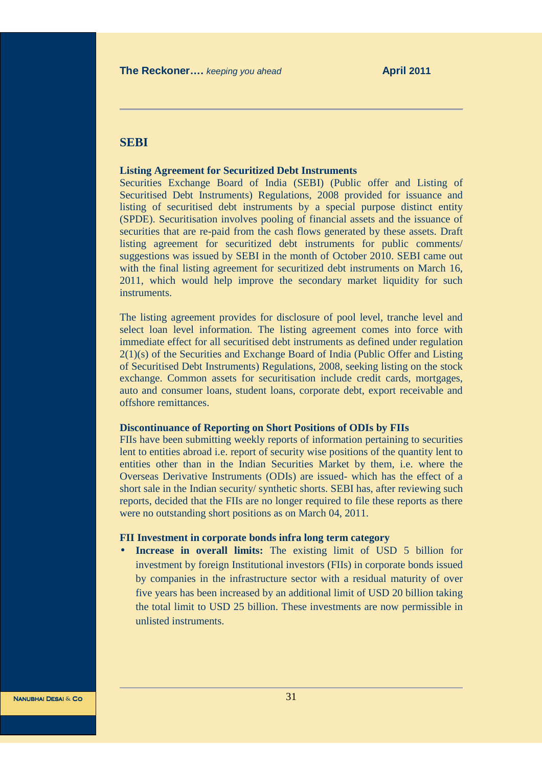# **SEBI**

#### **Listing Agreement for Securitized Debt Instruments**

Securities Exchange Board of India (SEBI) (Public offer and Listing of Securitised Debt Instruments) Regulations, 2008 provided for issuance and listing of securitised debt instruments by a special purpose distinct entity (SPDE). Securitisation involves pooling of financial assets and the issuance of securities that are re-paid from the cash flows generated by these assets. Draft listing agreement for securitized debt instruments for public comments/ suggestions was issued by SEBI in the month of October 2010. SEBI came out with the final listing agreement for securitized debt instruments on March 16, 2011, which would help improve the secondary market liquidity for such instruments.

The listing agreement provides for disclosure of pool level, tranche level and select loan level information. The listing agreement comes into force with immediate effect for all securitised debt instruments as defined under regulation 2(1)(s) of the Securities and Exchange Board of India (Public Offer and Listing of Securitised Debt Instruments) Regulations, 2008, seeking listing on the stock exchange. Common assets for securitisation include credit cards, mortgages, auto and consumer loans, student loans, corporate debt, export receivable and offshore remittances.

#### **Discontinuance of Reporting on Short Positions of ODIs by FIIs**

FIIs have been submitting weekly reports of information pertaining to securities lent to entities abroad i.e. report of security wise positions of the quantity lent to entities other than in the Indian Securities Market by them, i.e. where the Overseas Derivative Instruments (ODIs) are issued- which has the effect of a short sale in the Indian security/ synthetic shorts. SEBI has, after reviewing such reports, decided that the FIIs are no longer required to file these reports as there were no outstanding short positions as on March 04, 2011.

#### **FII Investment in corporate bonds infra long term category**

• **Increase in overall limits:** The existing limit of USD 5 billion for investment by foreign Institutional investors (FIIs) in corporate bonds issued by companies in the infrastructure sector with a residual maturity of over five years has been increased by an additional limit of USD 20 billion taking the total limit to USD 25 billion. These investments are now permissible in unlisted instruments.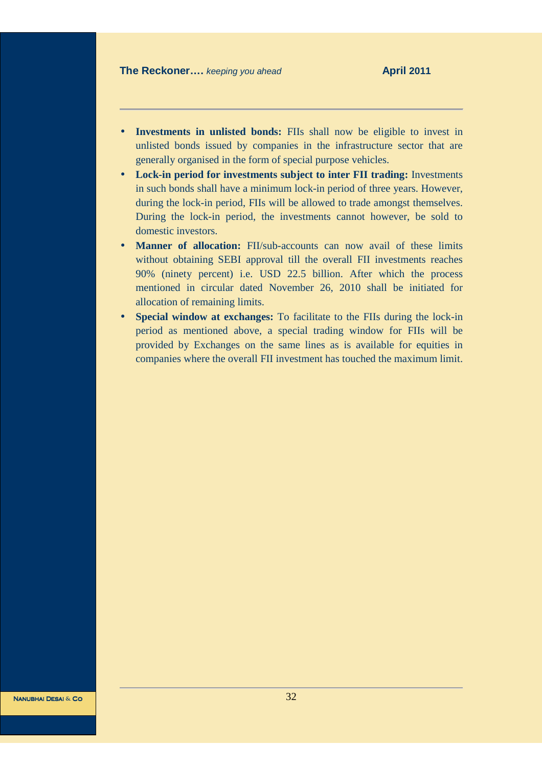- **Investments in unlisted bonds:** FIIs shall now be eligible to invest in unlisted bonds issued by companies in the infrastructure sector that are generally organised in the form of special purpose vehicles.
- **Lock-in period for investments subject to inter FII trading:** Investments in such bonds shall have a minimum lock-in period of three years. However, during the lock-in period, FIIs will be allowed to trade amongst themselves. During the lock-in period, the investments cannot however, be sold to domestic investors.
- **Manner of allocation:** FII/sub-accounts can now avail of these limits without obtaining SEBI approval till the overall FII investments reaches 90% (ninety percent) i.e. USD 22.5 billion. After which the process mentioned in circular dated November 26, 2010 shall be initiated for allocation of remaining limits.
- **Special window at exchanges:** To facilitate to the FIIs during the lock-in period as mentioned above, a special trading window for FIIs will be provided by Exchanges on the same lines as is available for equities in companies where the overall FII investment has touched the maximum limit.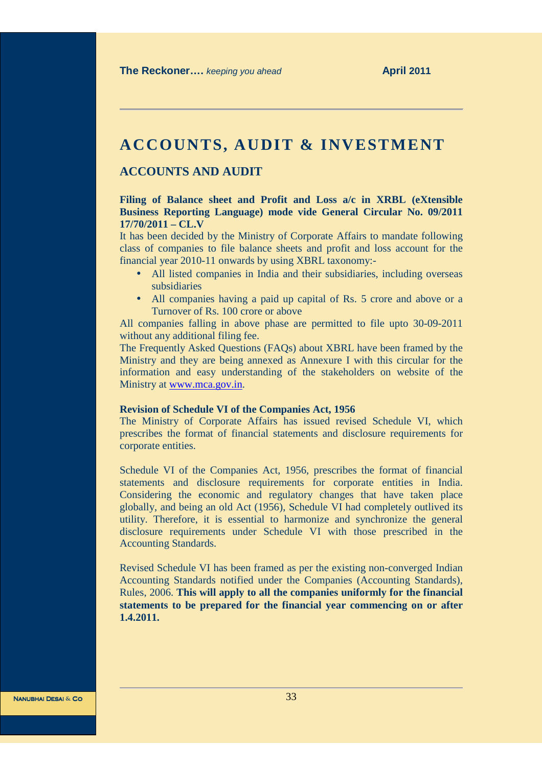# **ACCOUNTS, AUDIT & INVESTMENT**

# **ACCOUNTS AND AUDIT**

# **Filing of Balance sheet and Profit and Loss a/c in XRBL (eXtensible Business Reporting Language) mode vide General Circular No. 09/2011 17/70/2011 – CL.V**

It has been decided by the Ministry of Corporate Affairs to mandate following class of companies to file balance sheets and profit and loss account for the financial year 2010-11 onwards by using XBRL taxonomy:-

- All listed companies in India and their subsidiaries, including overseas subsidiaries
- All companies having a paid up capital of Rs. 5 crore and above or a Turnover of Rs. 100 crore or above

All companies falling in above phase are permitted to file upto 30-09-2011 without any additional filing fee.

The Frequently Asked Questions (FAQs) about XBRL have been framed by the Ministry and they are being annexed as Annexure I with this circular for the information and easy understanding of the stakeholders on website of the Ministry at www.mca.gov.in.

#### **Revision of Schedule VI of the Companies Act, 1956**

The Ministry of Corporate Affairs has issued revised Schedule VI, which prescribes the format of financial statements and disclosure requirements for corporate entities.

Schedule VI of the Companies Act, 1956, prescribes the format of financial statements and disclosure requirements for corporate entities in India. Considering the economic and regulatory changes that have taken place globally, and being an old Act (1956), Schedule VI had completely outlived its utility. Therefore, it is essential to harmonize and synchronize the general disclosure requirements under Schedule VI with those prescribed in the Accounting Standards.

Revised Schedule VI has been framed as per the existing non-converged Indian Accounting Standards notified under the Companies (Accounting Standards), Rules, 2006. **This will apply to all the companies uniformly for the financial statements to be prepared for the financial year commencing on or after 1.4.2011.**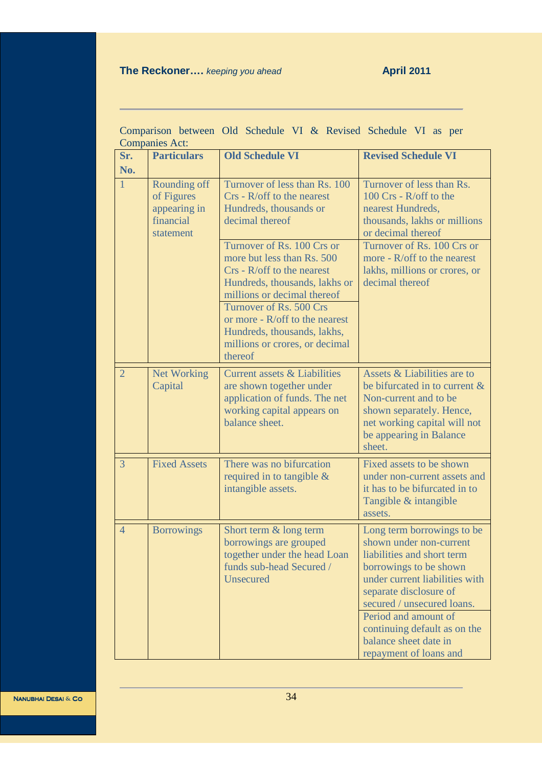# **The Reckoner....** *keeping you ahead* **April 2011**

| Comparison between the schedule $y_1 \propto$ Keyised schedule $y_1$ as per<br><b>Companies Act:</b> |                                                                      |                                                                                                                                                          |                                                                                                                                                                                                         |  |  |
|------------------------------------------------------------------------------------------------------|----------------------------------------------------------------------|----------------------------------------------------------------------------------------------------------------------------------------------------------|---------------------------------------------------------------------------------------------------------------------------------------------------------------------------------------------------------|--|--|
| Sr.<br>No.                                                                                           | <b>Particulars</b>                                                   | <b>Old Schedule VI</b>                                                                                                                                   | <b>Revised Schedule VI</b>                                                                                                                                                                              |  |  |
| $\mathbf{1}$                                                                                         | Rounding off<br>of Figures<br>appearing in<br>financial<br>statement | Turnover of less than Rs. 100<br>$Crs$ - $R/off$ to the nearest<br>Hundreds, thousands or<br>decimal thereof                                             | Turnover of less than Rs.<br>100 Crs - R/off to the<br>nearest Hundreds,<br>thousands, lakhs or millions<br>or decimal thereof                                                                          |  |  |
|                                                                                                      |                                                                      | Turnover of Rs. 100 Crs or<br>more but less than Rs. 500<br>$Crs - R/off$ to the nearest<br>Hundreds, thousands, lakhs or<br>millions or decimal thereof | Turnover of Rs. 100 Crs or<br>more - $R$ /off to the nearest<br>lakhs, millions or crores, or<br>decimal thereof                                                                                        |  |  |
|                                                                                                      |                                                                      | Turnover of Rs. 500 Crs<br>or more - $R$ /off to the nearest<br>Hundreds, thousands, lakhs,<br>millions or crores, or decimal<br>thereof                 |                                                                                                                                                                                                         |  |  |
| $\overline{2}$                                                                                       | <b>Net Working</b><br>Capital                                        | <b>Current assets &amp; Liabilities</b><br>are shown together under<br>application of funds. The net<br>working capital appears on<br>balance sheet.     | Assets & Liabilities are to<br>be bifurcated in to current &<br>Non-current and to be<br>shown separately. Hence,<br>net working capital will not<br>be appearing in Balance<br>sheet.                  |  |  |
| 3                                                                                                    | <b>Fixed Assets</b>                                                  | There was no bifurcation<br>required in to tangible $\&$<br>intangible assets.                                                                           | Fixed assets to be shown<br>under non-current assets and<br>it has to be bifurcated in to<br>Tangible & intangible<br>assets.                                                                           |  |  |
| $\overline{4}$                                                                                       | <b>Borrowings</b>                                                    | Short term & long term<br>borrowings are grouped<br>together under the head Loan<br>funds sub-head Secured /<br><b>Unsecured</b>                         | Long term borrowings to be<br>shown under non-current<br>liabilities and short term<br>borrowings to be shown<br>under current liabilities with<br>separate disclosure of<br>secured / unsecured loans. |  |  |
|                                                                                                      |                                                                      |                                                                                                                                                          | Period and amount of<br>continuing default as on the<br>balance sheet date in<br>repayment of loans and                                                                                                 |  |  |

Comparison between Old Schedule VI & Revised Schedule VI as per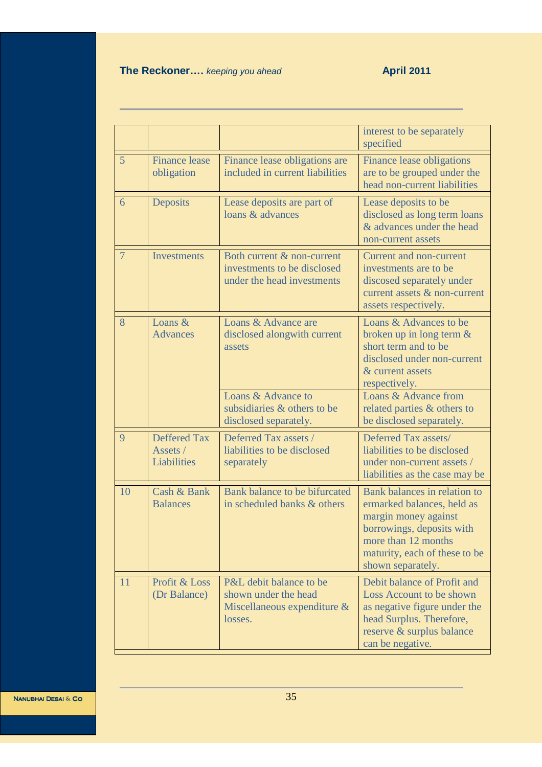# **The Reckoner....** *keeping you ahead* **April 2011**

|                |                                                |                                                                                           | interest to be separately<br>specified                                                                                                                                                       |
|----------------|------------------------------------------------|-------------------------------------------------------------------------------------------|----------------------------------------------------------------------------------------------------------------------------------------------------------------------------------------------|
| 5              | <b>Finance lease</b><br>obligation             | Finance lease obligations are<br>included in current liabilities                          | <b>Finance lease obligations</b><br>are to be grouped under the<br>head non-current liabilities                                                                                              |
| 6              | Deposits                                       | Lease deposits are part of<br>loans & advances                                            | Lease deposits to be<br>disclosed as long term loans<br>& advances under the head<br>non-current assets                                                                                      |
| $\overline{7}$ | Investments                                    | Both current & non-current<br>investments to be disclosed<br>under the head investments   | <b>Current and non-current</b><br>investments are to be<br>discosed separately under<br>current assets & non-current<br>assets respectively.                                                 |
| 8              | Loans &<br><b>Advances</b>                     | Loans & Advance are<br>disclosed alongwith current<br>assets                              | Loans & Advances to be<br>broken up in long term $&$<br>short term and to be<br>disclosed under non-current<br>& current assets<br>respectively.                                             |
|                |                                                | Loans & Advance to<br>subsidiaries & others to be<br>disclosed separately.                | Loans & Advance from<br>related parties & others to<br>be disclosed separately.                                                                                                              |
| 9              | <b>Deffered Tax</b><br>Assets /<br>Liabilities | Deferred Tax assets /<br>liabilities to be disclosed<br>separately                        | Deferred Tax assets/<br>liabilities to be disclosed<br>under non-current assets /<br>liabilities as the case may be                                                                          |
| 10             | Cash & Bank<br><b>Balances</b>                 | Bank balance to be bifurcated<br>in scheduled banks & others                              | Bank balances in relation to<br>ermarked balances, held as<br>margin money against<br>borrowings, deposits with<br>more than 12 months<br>maturity, each of these to be<br>shown separately. |
| 11             | Profit & Loss<br>(Dr Balance)                  | P&L debit balance to be<br>shown under the head<br>Miscellaneous expenditure &<br>losses. | Debit balance of Profit and<br>Loss Account to be shown<br>as negative figure under the<br>head Surplus. Therefore,<br>reserve & surplus balance<br>can be negative.                         |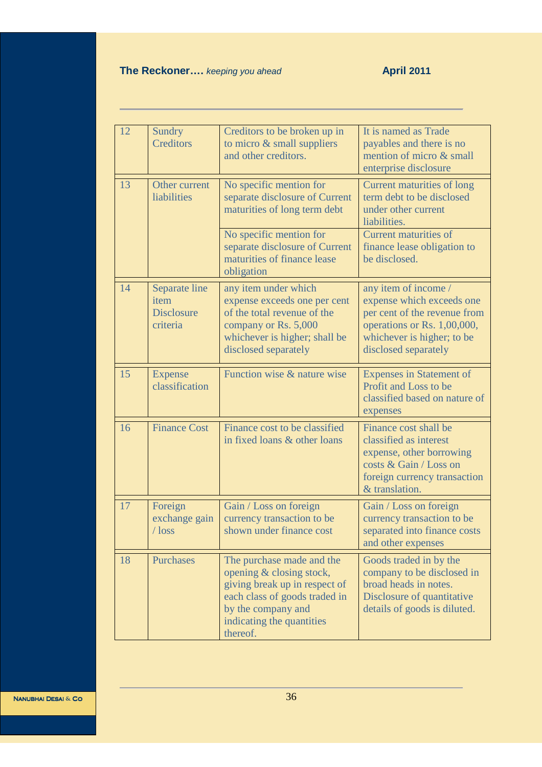# **The Reckoner....** *keeping you ahead* **April 2011**

| 12 | Sundry<br><b>Creditors</b>                             | Creditors to be broken up in<br>to micro $\&$ small suppliers<br>and other creditors.                                                                                                  | It is named as Trade<br>payables and there is no<br>mention of micro & small<br>enterprise disclosure                                                                  |
|----|--------------------------------------------------------|----------------------------------------------------------------------------------------------------------------------------------------------------------------------------------------|------------------------------------------------------------------------------------------------------------------------------------------------------------------------|
| 13 | Other current<br>liabilities                           | No specific mention for<br>separate disclosure of Current<br>maturities of long term debt                                                                                              | Current maturities of long<br>term debt to be disclosed<br>under other current<br>liabilities.                                                                         |
|    |                                                        | No specific mention for<br>separate disclosure of Current<br>maturities of finance lease<br>obligation                                                                                 | <b>Current maturities of</b><br>finance lease obligation to<br>be disclosed.                                                                                           |
| 14 | Separate line<br>item<br><b>Disclosure</b><br>criteria | any item under which<br>expense exceeds one per cent<br>of the total revenue of the<br>company or Rs. 5,000<br>whichever is higher; shall be<br>disclosed separately                   | any item of income /<br>expense which exceeds one<br>per cent of the revenue from<br>operations or Rs. 1,00,000,<br>whichever is higher; to be<br>disclosed separately |
| 15 | <b>Expense</b><br>classification                       | Function wise & nature wise                                                                                                                                                            | <b>Expenses in Statement of</b><br>Profit and Loss to be<br>classified based on nature of<br>expenses                                                                  |
| 16 | <b>Finance Cost</b>                                    | Finance cost to be classified<br>in fixed loans & other loans                                                                                                                          | Finance cost shall be<br>classified as interest<br>expense, other borrowing<br>costs & Gain / Loss on<br>foreign currency transaction<br>& translation.                |
| 17 | Foreign<br>exchange gain<br>$\log s$                   | Gain / Loss on foreign<br>currency transaction to be<br>shown under finance cost                                                                                                       | Gain / Loss on foreign<br>currency transaction to be<br>separated into finance costs<br>and other expenses                                                             |
| 18 | <b>Purchases</b>                                       | The purchase made and the<br>opening & closing stock,<br>giving break up in respect of<br>each class of goods traded in<br>by the company and<br>indicating the quantities<br>thereof. | Goods traded in by the<br>company to be disclosed in<br>broad heads in notes.<br>Disclosure of quantitative<br>details of goods is diluted.                            |